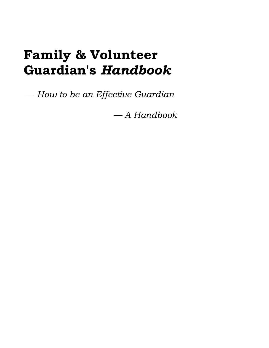# **Family & Volunteer Guardian's** *Handbook*

*— How to be an Effective Guardian* 

*— A Handbook*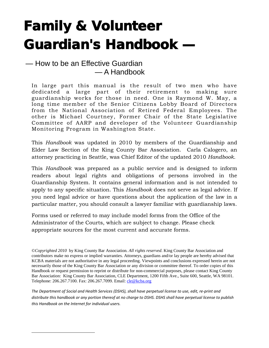# Family & Volunteer Guardian's Handbook —

# — How to be an Effective Guardian — A Handbook

<span id="page-2-0"></span>l

In large part this manual is the result of two men who have dedicated a large part of their retirement to making sure guardianship works for those in need. One is Raymond W. May, a long time member of the Senior Citizens Lobby Board of Directors from the National Association of Retired Federal Employees. The other is Michael Courtney, Former Chair of the State Legislative Committee of AARP and developer of the Volunteer Guardianship Monitoring Program in Washington State.

This *Handbook* was updated in 2010 by members of the Guardianship and Elder Law Section of the King County Bar Association. Carla Calogero, an attorney practicing in Seattle, was Chief Editor of the updated 2010 *Handbook.*

This *Handbook* was prepared as a public service and is designed to inform readers about legal rights and obligations of persons involved in the Guardianship System. It contains general information and is not intended to apply to any specific situation. This *Handbook* does not serve as legal advice. If you need legal advice or have questions about the application of the law in a particular matter, you should consult a lawyer familiar with guardianship laws.

Forms used or referred to may include model forms from the Office of the Administrator of the Courts, which are subject to change. Please check appropriate sources for the most current and accurate forms.

©*Copyrighted 2010* by King County Bar Association. *All rights reserved*. King County Bar Association and contributors make no express or implied warranties. Attorneys, guardians and/or lay people are hereby advised that KCBA materials are not authoritative in any legal proceeding. Viewpoints and conclusions expressed herein are not necessarily those of the King County Bar Association or any division or committee thereof. To order copies of this Handbook or request permission to reprint or distribute for non-commercial purposes, please contact King County Bar Association: King County Bar Association, CLE Department, 1200 Fifth Ave., Suite 600, Seattle, WA 98101. Telephone: 206.267.7100. Fax: 206.267.7099. Email: [cle@kcba.org](mailto:cle@kcba.org)

*The Department of Social and Health Services (DSHS), shall have perpetual license to use, edit, re-print and distribute this handbook or any portion thereof at no charge to DSHS. DSHS shall have perpetual license to publish this Handbook on the Internet for individual users.*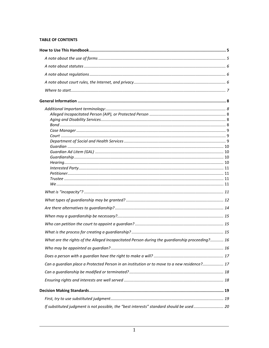#### **TABLE OF CONTENTS**

| What are the rights of the Alleged Incapacitated Person during the guardianship proceeding? 16 |  |
|------------------------------------------------------------------------------------------------|--|
|                                                                                                |  |
|                                                                                                |  |
| Can a guardian place a Protected Person in an institution or to move to a new residence? 17    |  |
|                                                                                                |  |
|                                                                                                |  |
|                                                                                                |  |
|                                                                                                |  |
| If substituted judgment is not possible, the "best interests" standard should be used 20       |  |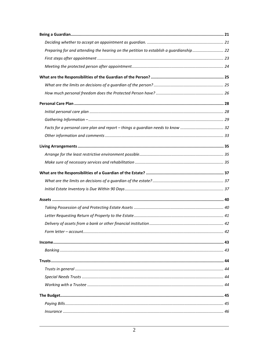| Preparing for and attending the hearing on the petition to establish a guardianship 22 |  |
|----------------------------------------------------------------------------------------|--|
|                                                                                        |  |
|                                                                                        |  |
|                                                                                        |  |
|                                                                                        |  |
|                                                                                        |  |
|                                                                                        |  |
|                                                                                        |  |
|                                                                                        |  |
| Facts for a personal care plan and report - things a guardian needs to know  32        |  |
|                                                                                        |  |
|                                                                                        |  |
|                                                                                        |  |
|                                                                                        |  |
|                                                                                        |  |
|                                                                                        |  |
|                                                                                        |  |
|                                                                                        |  |
|                                                                                        |  |
|                                                                                        |  |
|                                                                                        |  |
|                                                                                        |  |
|                                                                                        |  |
|                                                                                        |  |
|                                                                                        |  |
|                                                                                        |  |
|                                                                                        |  |
|                                                                                        |  |
|                                                                                        |  |
|                                                                                        |  |
|                                                                                        |  |
|                                                                                        |  |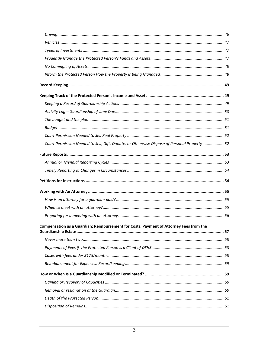| Court Permission Needed to Sell, Gift, Donate, or Otherwise Dispose of Personal Property 52 |  |
|---------------------------------------------------------------------------------------------|--|
|                                                                                             |  |
|                                                                                             |  |
|                                                                                             |  |
|                                                                                             |  |
|                                                                                             |  |
|                                                                                             |  |
|                                                                                             |  |
|                                                                                             |  |
| Compensation as a Guardian; Reimbursement for Costs; Payment of Attorney Fees from the      |  |
|                                                                                             |  |
|                                                                                             |  |
|                                                                                             |  |
|                                                                                             |  |
|                                                                                             |  |
|                                                                                             |  |
|                                                                                             |  |
|                                                                                             |  |
|                                                                                             |  |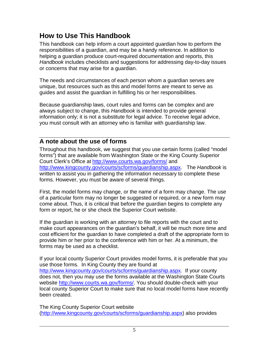# <span id="page-8-0"></span>**How to Use This Handbook**

This handbook can help inform a court appointed guardian how to perform the responsibilities of a guardian, and may be a handy reference. In addition to helping a guardian produce court-required documentation and reports, this *Handbook* includes checklists and suggestions for addressing day-to-day issues or concerns that may arise for a guardian.

The needs and circumstances of each person whom a guardian serves are unique, but resources such as this and model forms are meant to serve as guides and assist the guardian in fulfilling his or her responsibilities.

Because guardianship laws, court rules and forms can be complex and are always subject to change, this *Handbook* is intended to provide general information only; it is not a substitute for legal advice. To receive legal advice, you must consult with an attorney who is familiar with guardianship law.

## <span id="page-8-1"></span>**A note about the use of forms**

Throughout this handbook, we suggest that you use certain forms (called "model forms") that are available from Washington State or the King County Superior Court Clerk's Office at <http://www.courts.wa.gov/forms/> and [http://www.kingcounty.gov/courts/scforms/guardianship.aspx.](http://www.kingcounty.gov/courts/scforms/guardianship.aspx) The *Handbook* is written to assist you in gathering the information necessary to complete these forms. However, you must be aware of several things.

First, the model forms may change, or the name of a form may change. The use of a particular form may no longer be suggested or required, or a new form may come about. Thus, it is critical that before the guardian begins to complete any form or report, he or she check the Superior Court website.

If the guardian is working with an attorney to file reports with the court and to make court appearances on the guardian's behalf, it will be much more time and cost efficient for the guardian to have completed a draft of the appropriate form to provide him or her prior to the conference with him or her. At a minimum, the forms may be used as a checklist.

If your local county Superior Court provides model forms, it is preferable that you use those forms. In King County they are found at [http://www.kingcounty.gov/courts/scforms/guardianship.aspx.](http://www.kingcounty.gov/courts/scforms/guardianship.aspx) If your county does not, then you may use the forms available at the Washington State Courts

website [http://www.courts.wa.gov/forms/.](http://www.courts.wa.gov/forms/) You should double-check with your local county Superior Court to make sure that no local model forms have recently been created.

The King County Superior Court website [\(http://www.kingcounty.gov/courts/scforms/guardianship.aspx\)](http://www.kingcounty.gov/courts/scforms/guardianship.aspx) also provides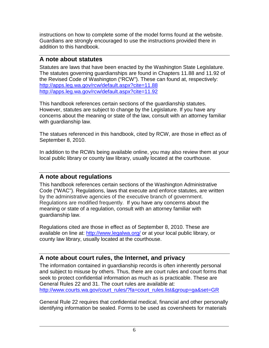instructions on how to complete some of the model forms found at the website. Guardians are strongly encouraged to use the instructions provided there in addition to this handbook.

#### <span id="page-9-0"></span>**A note about statutes**

Statutes are laws that have been enacted by the Washington State Legislature. The statutes governing guardianships are found in Chapters 11.88 and 11.92 of the Revised Code of Washington ("RCW"). These can found at, respectively: <http://apps.leg.wa.gov/rcw/default.aspx?cite=11.88> <http://apps.leg.wa.gov/rcw/default.aspx?cite=11.92>

This handbook references certain sections of the guardianship statutes. However, statutes are subject to change by the Legislature. If you have any concerns about the meaning or state of the law, consult with an attorney familiar with guardianship law.

The statues referenced in this handbook, cited by RCW, are those in effect as of September 8, 2010.

In addition to the RCWs being available online, you may also review them at your local public library or county law library, usually located at the courthouse.

## <span id="page-9-1"></span>**A note about regulations**

This handbook references certain sections of the Washington Administrative Code ("WAC"). Regulations, laws that execute and enforce statutes, are written by the administrative agencies of the executive branch of government. Regulations are modified frequently. If you have any concerns about the meaning or state of a regulation, consult with an attorney familiar with guardianship law.

Regulations cited are those in effect as of September 8, 2010. These are available on line at:<http://www.legalwa.org/> or at your local public library, or county law library, usually located at the courthouse.

# <span id="page-9-2"></span>**A note about court rules, the Internet, and privacy**

The information contained in guardianship records is often inherently personal and subject to misuse by others. Thus, there are court rules and court forms that seek to protect confidential information as much as is practicable. These are General Rules 22 and 31. The court rules are available at: [http://www.courts.wa.gov/court\\_rules/?fa=court\\_rules.list&group=ga&set=GR](http://www.courts.wa.gov/court_rules/?fa=court_rules.list&group=ga&set=GR)

General Rule 22 requires that confidential medical, financial and other personally identifying information be sealed. Forms to be used as coversheets for materials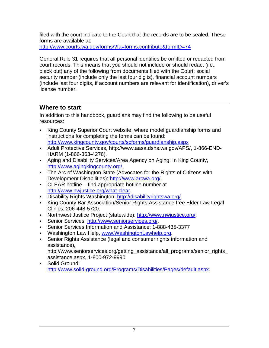filed with the court indicate to the Court that the records are to be sealed. These forms are available at:

<http://www.courts.wa.gov/forms/?fa=forms.contribute&formID=74>

General Rule 31 requires that all personal identifies be omitted or redacted from court records. This means that you should not include or should redact (i.e., black out) any of the following from documents filed with the Court: social security number (include only the last four digits), financial account numbers (include last four digits, if account numbers are relevant for identification), driver's license number.

#### <span id="page-10-0"></span>**Where to start**

In addition to this handbook, guardians may find the following to be useful resources:

- King County Superior Court website, where model guardianship forms and instructions for completing the forms can be found: <http://www.kingcounty.gov/courts/scforms/guardianship.aspx>
- Adult Protective Services, http://www.aasa.dshs.wa.gov/APS/, 1-866-END-HARM (1-866-363-4276).
- Aging and Disability Services/Area Agency on Aging: In King County, [http://www.agingkingcounty.org/.](http://www.agingkingcounty.org/)
- The Arc of Washington State (Advocates for the Rights of Citizens with Development Disabilities): [http://www.arcwa.org/.](http://www.arcwa.org/)
- CLEAR hotline find appropriate hotline number at [http://www.nwjustice.org/what-clear.](http://www.nwjustice.org/what-clear)
- Disability Rights Washington: http://disabilityrightswa.org/
- King County Bar Association/Senior Rights Assistance free Elder Law Legal Clinics: 206-448-5720.
- Northwest Justice Project (statewide): [http://www.nwjustice.org/.](http://www.nwjustice.org/)
- Senior Services: [http://www.seniorservices.org/.](http://www.seniorservices.org/)
- Senior Services Information and Assistance: 1-888-435-3377
- Washington Law Help, [www.WashingtonLawhelp.org.](http://www.washingtonlawhelp.org/)
- Senior Rights Assistance (legal and consumer rights information and assistance),

http://www.seniorservices.org/getting\_assistance/all\_programs/senior\_rights\_ assistance.aspx, 1-800-972-9990

 Solid Ground: [http://www.solid-ground.org/Programs/Disabilities/Pages/default.aspx.](http://www.solid-ground.org/Programs/Disabilities/Pages/default.aspx)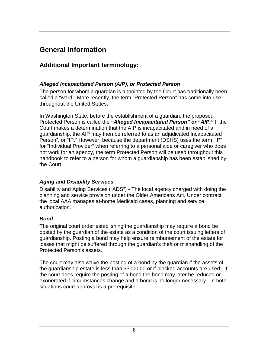# <span id="page-11-0"></span>**General Information**

## <span id="page-11-1"></span>**Additional Important terminology:**

#### <span id="page-11-2"></span>*Alleged Incapacitated Person (AIP), or Protected Person*

The person for whom a guardian is appointed by the Court has traditionally been called a "ward." More recently, the term "Protected Person" has come into use throughout the United States.

In Washington State, before the establishment of a guardian, the proposed Protected Person is called the *"Alleged Incapacitated Person" or "AIP."* If the Court makes a determination that the AIP is incapacitated and in need of a guardianship, the AIP may then be referred to as an adjudicated Incapacitated Person", or "IP." However, because the department (DSHS) uses the term "IP" for "Individual Provider" when referring to a personal aide or caregiver who does not work for an agency, the term Protected Person will be used throughout this handbook to refer to a person for whom a guardianship has been established by the Court.

#### <span id="page-11-3"></span>*Aging and Disability Services*

Disability and Aging Services ("ADS") - The local agency charged with doing the planning and service provision under the Older Americans Act. Under contract, the local AAA manages at-home Medicaid cases, planning and service authorization.

#### <span id="page-11-4"></span>*Bond*

The original court order establishing the guardianship may require a bond be posted by the guardian of the estate as a condition of the court issuing letters of guardianship. Posting a bond may help ensure reimbursement of the estate for losses that might be suffered through the guardian's theft or mishandling of the Protected Person's assets.

The court may also waive the posting of a bond by the guardian if the assets of the guardianship estate is less than \$3000.00 or if blocked accounts are used. If the court does require the posting of a bond the bond may later be reduced or exonerated if circumstances change and a bond is no longer necessary. In both situations court approval is a prerequisite.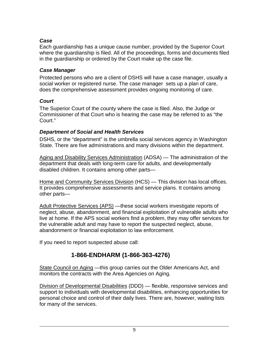#### *Case*

Each guardianship has a unique cause number, provided by the Superior Court where the guardianship is filed. All of the proceedings, forms and documents filed in the guardianship or ordered by the Court make up the case file.

#### <span id="page-12-0"></span>*Case Manager*

Protected persons who are a client of DSHS will have a case manager, usually a social worker or registered nurse. The case manager sets up a plan of care, does the comprehensive assessment provides ongoing monitoring of care.

#### <span id="page-12-1"></span>*Court*

The Superior Court of the county where the case is filed. Also, the Judge or Commissioner of that Court who is hearing the case may be referred to as "the Court."

#### <span id="page-12-2"></span>*Department of Social and Health Services*

DSHS, or the "department" is the umbrella social services agency in Washington State. There are five administrations and many divisions within the department.

Aging and Disability Services Administration (ADSA) — The administration of the department that deals with long-term care for adults, and developmentally disabled children. It contains among other parts—

Home and Community Services Division (HCS) — This division has local offices. It provides comprehensive assessments and service plans. It contains among other parts—

Adult Protective Services (APS) —these social workers investigate reports of neglect, abuse, abandonment, and financial exploitation of vulnerable adults who live at home. If the APS social workers find a problem, they may offer services for the vulnerable adult and may have to report the suspected neglect, abuse, abandonment or financial exploitation to law enforcement.

If you need to report suspected abuse call:

# **1-866-ENDHARM (1-866-363-4276)**

State Council on Aging —this group carries out the Older Americans Act, and monitors the contracts with the Area Agencies on Aging.

Division of Developmental Disabilities (DDD) — flexible, responsive services and support to individuals with developmental disabilities, enhancing opportunities for personal choice and control of their daily lives. There are, however, waiting lists for many of the services.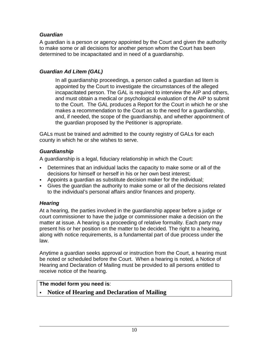#### <span id="page-13-0"></span>*Guardian*

A guardian is a person or agency appointed by the Court and given the authority to make some or all decisions for another person whom the Court has been determined to be incapacitated and in need of a guardianship.

#### <span id="page-13-1"></span>*Guardian Ad Litem (GAL)*

In all guardianship proceedings, a person called a guardian ad litem is appointed by the Court to investigate the circumstances of the alleged incapacitated person. The GAL is required to interview the AIP and others, and must obtain a medical or psychological evaluation of the AIP to submit to the Court. The GAL produces a Report for the Court in which he or she makes a recommendation to the Court as to the need for a guardianship, and, if needed, the scope of the guardianship, and whether appointment of the guardian proposed by the Petitioner is appropriate.

GALs must be trained and admitted to the county registry of GALs for each county in which he or she wishes to serve.

#### <span id="page-13-2"></span>*Guardianship*

A guardianship is a legal, fiduciary relationship in which the Court:

- Determines that an individual lacks the capacity to make some or all of the decisions for himself or herself in his or her own best interest;
- Appoints a guardian as substitute decision maker for the individual;
- Gives the guardian the authority to make some or all of the decisions related to the individual's personal affairs and/or finances and property.

## <span id="page-13-3"></span>*Hearing*

At a hearing, the parties involved in the guardianship appear before a judge or court commissioner to have the judge or commissioner make a decision on the matter at issue. A hearing is a proceeding of relative formality. Each party may present his or her position on the matter to be decided. The right to a hearing, along with notice requirements, is a fundamental part of due process under the law.

Anytime a guardian seeks approval or instruction from the Court, a hearing must be noted or scheduled before the Court. When a hearing is noted, a Notice of Hearing and Declaration of Mailing must be provided to all persons entitled to receive notice of the hearing.

## **The model form you need is**:

## **Notice of Hearing and Declaration of Mailing**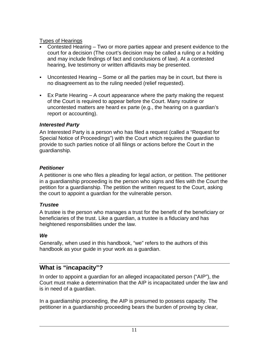#### Types of Hearings

- Contested Hearing Two or more parties appear and present evidence to the court for a decision (The court's decision may be called a ruling or a holding and may include findings of fact and conclusions of law). At a contested hearing, live testimony or written affidavits may be presented.
- Uncontested Hearing Some or all the parties may be in court, but there is no disagreement as to the ruling needed (relief requested).
- Ex Parte Hearing A court appearance where the party making the request of the Court is required to appear before the Court. Many routine or uncontested matters are heard ex parte (e.g., the hearing on a guardian's report or accounting).

#### <span id="page-14-0"></span>*Interested Party*

An Interested Party is a person who has filed a request (called a "Request for Special Notice of Proceedings") with the Court which requires the guardian to provide to such parties notice of all filings or actions before the Court in the guardianship.

#### <span id="page-14-1"></span>*Petitioner*

A petitioner is one who files a pleading for legal action, or petition. The petitioner in a guardianship proceeding is the person who signs and files with the Court the petition for a guardianship. The petition the written request to the Court, asking the court to appoint a guardian for the vulnerable person.

#### <span id="page-14-2"></span>*Trustee*

A trustee is the person who manages a trust for the benefit of the beneficiary or beneficiaries of the trust. Like a guardian, a trustee is a fiduciary and has heightened responsibilities under the law.

#### <span id="page-14-3"></span>*We*

Generally, when used in this handbook, "we" refers to the authors of this handbook as your guide in your work as a guardian.

# <span id="page-14-4"></span>**What is "incapacity"?**

In order to appoint a guardian for an alleged incapacitated person ("AIP"), the Court must make a determination that the AIP is incapacitated under the law and is in need of a guardian.

In a guardianship proceeding, the AIP is presumed to possess capacity. The petitioner in a guardianship proceeding bears the burden of proving by clear,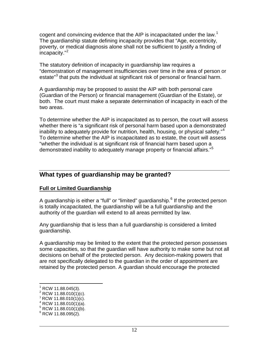cogent and convincing evidence that the AIP is incapacitated under the law.<sup>[1](#page-15-1)</sup> The guardianship statute defining incapacity provides that "Age, eccentricity, poverty, or medical diagnosis alone shall not be sufficient to justify a finding of incapacity."[2](#page-15-2)

The statutory definition of incapacity in guardianship law requires a "demonstration of management insufficiencies over time in the area of person or estate<sup>[3](#page-15-3)</sup> that puts the individual at significant risk of personal or financial harm.

A guardianship may be proposed to assist the AIP with both personal care (Guardian of the Person) or financial management (Guardian of the Estate), or both. The court must make a separate determination of incapacity in each of the two areas.

To determine whether the AIP is incapacitated as to person, the court will assess whether there is "a significant risk of personal harm based upon a demonstrated inability to adequately provide for nutrition, health, housing, or physical safety."<sup>[4](#page-15-4)</sup> To determine whether the AIP is incapacitated as to estate, the court will assess "whether the individual is at significant risk of financial harm based upon a demonstrated inability to adequately manage property or financial affairs."[5](#page-15-5)

#### <span id="page-15-0"></span>**What types of guardianship may be granted?**

#### **Full or Limited Guardianship**

A guardianship is either a "full" or "limited" guardianship.<sup>[6](#page-15-6)</sup> If the protected person is totally incapacitated, the guardianship will be a full guardianship and the authority of the guardian will extend to all areas permitted by law.

Any guardianship that is less than a full guardianship is considered a limited guardianship.

A guardianship may be limited to the extent that the protected person possesses some capacities, so that the guardian will have authority to make some but not all decisions on behalf of the protected person. Any decision-making powers that are not specifically delegated to the guardian in the order of appointment are retained by the protected person. A guardian should encourage the protected

 $1$  RCW 11.88.045(3).

<span id="page-15-2"></span><span id="page-15-1"></span> $2$  RCW 11.88.010(1)(c).

<span id="page-15-3"></span> $3$  RCW 11.88.010(1)(c).

<span id="page-15-4"></span> $4$  RCW 11.88.010(1)(a).

<span id="page-15-5"></span> $5$  RCW 11.88.010 $(1)(b)$ .

<span id="page-15-6"></span> $6$  RCW 11.88.095(2).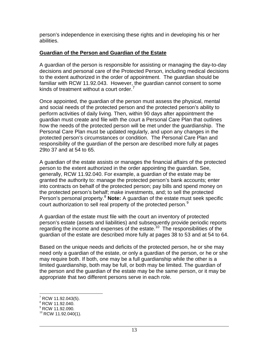person's independence in exercising these rights and in developing his or her abilities.

#### **Guardian of the Person and Guardian of the Estate**

A guardian of the person is responsible for assisting or managing the day-to-day decisions and personal care of the Protected Person, including medical decisions to the extent authorized in the order of appointment. The guardian should be familiar with RCW 11.92.043. However, the guardian cannot consent to some kinds of treatment without a court order.<sup>[7](#page-16-0)</sup>

Once appointed, the guardian of the person must assess the physical, mental and social needs of the protected person and the protected person's ability to perform activities of daily living. Then, within 90 days after appointment the guardian must create and file with the court a Personal Care Plan that outlines how the needs of the protected person will be met under the guardianship. The Personal Care Plan must be updated regularly, and upon any changes in the protected person's circumstances or condition. The Personal Care Plan and responsibility of the guardian of the person are described more fully at pages 29to 37 and at 54 to 65.

A guardian of the estate assists or manages the financial affairs of the protected person to the extent authorized in the order appointing the guardian. See, generally, RCW 11.92.040. For example, a guardian of the estate may be granted the authority to: manage the protected person's bank accounts; enter into contracts on behalf of the protected person; pay bills and spend money on the protected person's behalf; make investments, and; to sell the protected Person's personal property.<sup>[8](#page-16-1)</sup> Note: A guardian of the estate must seek specific court authorization to sell real property of the protected person.<sup>[9](#page-16-2)</sup>

A guardian of the estate must file with the court an inventory of protected person's estate (assets and liabilities) and subsequently provide periodic reports regarding the income and expenses of the estate.<sup>10</sup> The responsibilities of the guardian of the estate are described more fully at pages 38 to 53 and at 54 to 64.

Based on the unique needs and deficits of the protected person, he or she may need only a guardian of the estate, or only a guardian of the person, or he or she may require both. If both, one may be a full guardianship while the other is a limited guardianship, both may be full, or both may be limited. The guardian of the person and the guardian of the estate may be the same person, or it may be appropriate that two different persons serve in each role.

<span id="page-16-0"></span> $^7$  RCW 11.92.043(5).<br><sup>8</sup> RCW 11.92.040.

<span id="page-16-1"></span>

<span id="page-16-2"></span> $\frac{9}{10}$  RCW 11.92.090.<br>  $\frac{10}{10}$  RCW 11.92.040(1).

<span id="page-16-3"></span>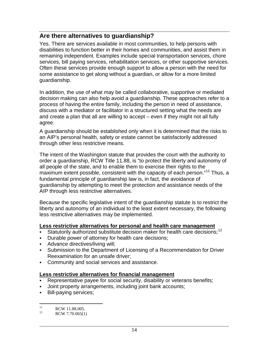# <span id="page-17-0"></span>**Are there alternatives to guardianship?**

Yes. There are services available in most communities, to help persons with disabilities to function better in their homes and communities, and assist them in remaining independent. Examples include special transportation services, chore services, bill paying services, rehabilitation services, or other supportive services. Often these services provide enough support to allow a person with the need for some assistance to get along without a guardian, or allow for a more limited guardianship.

In addition, the use of what may be called collaborative, supportive or mediated decision making can also help avoid a guardianship. These approaches refer to a process of having the entire family, including the person in need of assistance, discuss with a mediator or facilitator in a structured setting what the needs are and create a plan that all are willing to accept – even if they might not all fully agree.

A guardianship should be established only when it is determined that the risks to an AIP's personal health, safety or estate cannot be satisfactorily addressed through other less restrictive means.

The intent of the Washington statute that provides the court with the authority to order a guardianship, RCW Title 11.88, is "to protect the liberty and autonomy of all people of the state, and to enable them to exercise their rights to the maximum extent possible, consistent with the capacity of each person."<sup>[11](#page-17-1)</sup> Thus, a fundamental principle of guardianship law is, in fact, the avoidance of guardianship by attempting to meet the protection and assistance needs of the AIP through less restrictive alternatives.

Because the specific legislative intent of the guardianship statute is to restrict the liberty and autonomy of an individual to the least extent necessary, the following less restrictive alternatives may be implemented.

#### **Less restrictive alternatives for personal and health care management**

- Statutorily authorized substitute decision maker for health care decisions;<sup>[12](#page-17-2)</sup>
- Durable power of attorney for health care decisions;
- Advance directives/living will;
- Submission to the Department of Licensing of a Recommendation for Driver Reexamination for an unsafe driver;
- Community and social services and assistance.

#### **Less restrictive alternatives for financial management**

- Representative payee for social security, disability or veterans benefits;
- Joint property arrangements, including joint bank accounts;
- **Bill-paying services;**

<span id="page-17-2"></span><span id="page-17-1"></span> $\frac{11}{12}$  RCW 11.88.005.<br>RCW 7.70.065(1)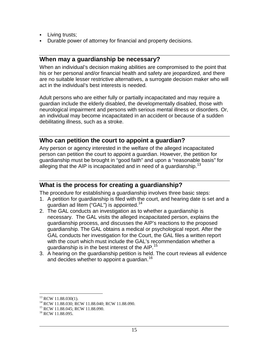- Living trusts;
- Durable power of attorney for financial and property decisions.

#### <span id="page-18-0"></span>**When may a guardianship be necessary?**

When an individual's decision making abilities are compromised to the point that his or her personal and/or financial health and safety are jeopardized, and there are no suitable lesser restrictive alternatives, a surrogate decision maker who will act in the individual's best interests is needed.

Adult persons who are either fully or partially incapacitated and may require a guardian include the elderly disabled, the developmentally disabled, those with neurological impairment and persons with serious mental illness or disorders. Or, an individual may become incapacitated in an accident or because of a sudden debilitating illness, such as a stroke.

#### <span id="page-18-1"></span>**Who can petition the court to appoint a guardian?**

Any person or agency interested in the welfare of the alleged incapacitated person can petition the court to appoint a guardian. However, the petition for guardianship must be brought in "good faith" and upon a "reasonable basis" for alleging that the AIP is incapacitated and in need of a guardianship.<sup>[13](#page-18-3)</sup>

#### <span id="page-18-2"></span>**What is the process for creating a guardianship?**

The procedure for establishing a guardianship involves three basic steps:

- 1. A petition for guardianship is filed with the court, and hearing date is set and a guardian ad litem ("GAL") is appointed.<sup>[14](#page-18-4)</sup>
- 2. The GAL conducts an investigation as to whether a guardianship is necessary. The GAL visits the alleged incapacitated person, explains the guardianship process, and discusses the AIP's reactions to the proposed guardianship. The GAL obtains a medical or psychological report. After the GAL conducts her investigation for the Court, the GAL files a written report with the court which must include the GAL's recommendation whether a guardianship is in the best interest of the AIP.<sup>[15](#page-18-5)</sup>
- 3. A hearing on the guardianship petition is held. The court reviews all evidence and decides whether to appoint a quardian.<sup>[16](#page-18-6)</sup>

<span id="page-18-4"></span><span id="page-18-3"></span><sup>&</sup>lt;sup>13</sup> RCW 11.88.030(1).<br><sup>14</sup> RCW 11.88.030; RCW 11.88.040; RCW 11.88.090.<br><sup>15</sup> RCW 11.88.045; RCW 11.88.090.<br><sup>16</sup> RCW 11.88.095.

<span id="page-18-5"></span>

<span id="page-18-6"></span>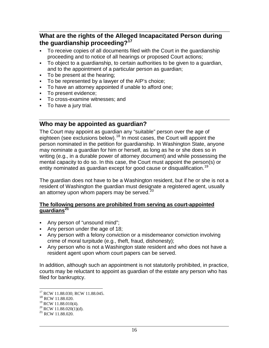## <span id="page-19-0"></span>**What are the rights of the Alleged Incapacitated Person during the guardianship proceeding?[17](#page-19-2)**

- To receive copies of all documents filed with the Court in the guardianship proceeding and to notice of all hearings or proposed Court actions;
- To object to a guardianship, to certain authorities to be given to a guardian, and to the appointment of a particular person as guardian;
- To be present at the hearing;
- To be represented by a lawyer of the AIP's choice;
- To have an attorney appointed if unable to afford one;
- To present evidence;
- To cross-examine witnesses; and
- To have a jury trial.

#### <span id="page-19-1"></span>**Who may be appointed as guardian?**

The Court may appoint as guardian any "suitable" person over the age of eighteen (see exclusions below).<sup>[18](#page-19-3)</sup> In most cases, the Court will appoint the person nominated in the petition for guardianship. In Washington State, anyone may nominate a guardian for him or herself, as long as he or she does so in writing (e.g., in a durable power of attorney document) and while possessing the mental capacity to do so. In this case, the Court must appoint the person(s) or entity nominated as guardian except for good cause or disqualification.<sup>[19](#page-19-4)</sup>

The guardian does not have to be a Washington resident, but if he or she is not a resident of Washington the guardian must designate a registered agent, usually an attorney upon whom papers may be served. $^{20}$  $^{20}$  $^{20}$ 

#### **The following persons are prohibited from serving as court-appointed guardians[21](#page-19-6)**

- Any person of "unsound mind";
- Any person under the age of 18;
- Any person with a felony conviction or a misdemeanor conviction involving crime of moral turpitude (e.g., theft, fraud, dishonesty);
- Any person who is not a Washington state resident and who does not have a resident agent upon whom court papers can be served.

In addition, although such an appointment is not statutorily prohibited, in practice, courts may be reluctant to appoint as guardian of the estate any person who has filed for bankruptcy.

<span id="page-19-3"></span><span id="page-19-2"></span> $^{17}_{\rm 18}$  RCW 11.88.030; RCW 11.88.045.<br> $^{18}_{\rm 18}$  RCW 11.88.020.

<span id="page-19-4"></span><sup>&</sup>lt;sup>19</sup> RCW 11.88.010(4).<br><sup>20</sup> RCW 11.88.020(1)(d).

<span id="page-19-6"></span><span id="page-19-5"></span><sup>21</sup> RCW 11.88.020.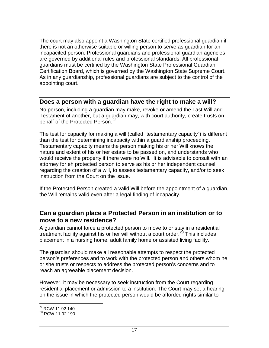The court may also appoint a Washington State certified professional guardian if there is not an otherwise suitable or willing person to serve as guardian for an incapacited person. Professional guardians and professional guardian agencies are governed by additional rules and professional standards. All professional guardians must be certified by the Washington State Professional Guardian Certification Board, which is governed by the Washington State Supreme Court. As in any guardianship, professional guardians are subject to the control of the appointing court.

#### <span id="page-20-0"></span>**Does a person with a guardian have the right to make a will?**

No person, including a guardian may make, revoke or amend the Last Will and Testament of another, but a guardian may, with court authority, create trusts on behalf of the Protected Person.<sup>[22](#page-20-2)</sup>

The test for capacity for making a will (called "testamentary capacity") is different than the test for determining incapacity within a guardianship proceeding. Testamentary capacity means the person making his or her Will knows the nature and extent of his or her estate to be passed on, and understands who would receive the property if there were no Will. It is advisable to consult with an attorney for eh protected person to serve as his or her independent counsel regarding the creation of a will, to assess testamentary capacity, and/or to seek instruction from the Court on the issue.

If the Protected Person created a valid Will before the appointment of a guardian, the Will remains valid even after a legal finding of incapacity.

#### <span id="page-20-1"></span>**Can a guardian place a Protected Person in an institution or to move to a new residence?**

A guardian cannot force a protected person to move to or stay in a residential treatment facility against his or her will without a court order. $^{23}$  $^{23}$  $^{23}$  This includes placement in a nursing home, adult family home or assisted living facility.

The guardian should make all reasonable attempts to respect the protected person's preferences and to work with the protected person and others whom he or she trusts or respects to address the protected person's concerns and to reach an agreeable placement decision.

However, it may be necessary to seek instruction from the Court regarding residential placement or admission to a institution. The Court may set a hearing on the issue in which the protected person would be afforded rights similar to

<span id="page-20-2"></span><sup>&</sup>lt;sup>22</sup> RCW 11.92.140.

<span id="page-20-3"></span><sup>&</sup>lt;sup>23</sup> RCW 11.92.190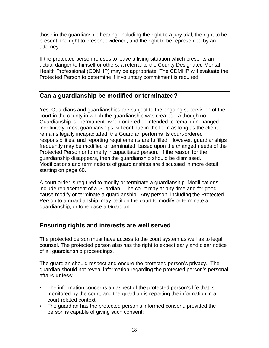those in the guardianship hearing, including the right to a jury trial, the right to be present, the right to present evidence, and the right to be represented by an attorney.

If the protected person refuses to leave a living situation which presents an actual danger to himself or others, a referral to the County Designated Mental Health Professional (CDMHP) may be appropriate. The CDMHP will evaluate the Protected Person to determine if involuntary commitment is required.

## <span id="page-21-0"></span>**Can a guardianship be modified or terminated?**

Yes. Guardians and guardianships are subject to the ongoing supervision of the court in the county in which the guardianship was created. Although no Guardianship is "permanent" when ordered or intended to remain unchanged indefinitely, most guardianships will continue in the form as long as the client remains legally incapacitated, the Guardian performs its court-ordered responsibilities, and reporting requirements are fulfilled. However, guardianships frequently may be modified or terminated, based upon the changed needs of the Protected Person or formerly incapacitated person. If the reason for the guardianship disappears, then the guardianship should be dismissed. Modifications and terminations of guardianships are discussed in more detail starting on page 60.

A court order is required to modify or terminate a guardianship. Modifications include replacement of a Guardian. The court may at any time and for good cause modify or terminate a guardianship. Any person, including the Protected Person to a guardianship, may petition the court to modify or terminate a guardianship, or to replace a Guardian.

# <span id="page-21-1"></span>**Ensuring rights and interests are well served**

The protected person must have access to the court system as well as to legal counsel. The protected person also has the right to expect early and clear notice of all guardianship proceedings.

The guardian should respect and ensure the protected person's privacy. The guardian should not reveal information regarding the protected person's personal affairs **unless**:

- The information concerns an aspect of the protected person's life that is monitored by the court, and the guardian is reporting the information in a court-related context;
- The guardian has the protected person's informed consent, provided the person is capable of giving such consent;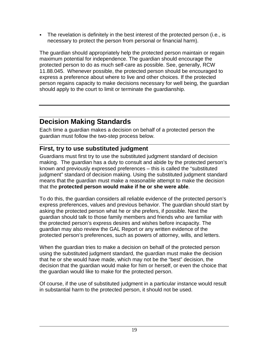The revelation is definitely in the best interest of the protected person (i.e., is necessary to protect the person from personal or financial harm).

The guardian should appropriately help the protected person maintain or regain maximum potential for independence. The guardian should encourage the protected person to do as much self-care as possible. See, generally, RCW 11.88.045. Whenever possible, the protected person should be encouraged to express a preference about where to live and other choices. If the protected person regains capacity to make decisions necessary for well being, the guardian should apply to the court to limit or terminate the guardianship.

# <span id="page-22-0"></span>**Decision Making Standards**

Each time a guardian makes a decision on behalf of a protected person the guardian must follow the two-step process below.

# <span id="page-22-1"></span>**First, try to use substituted judgment**

Guardians must first try to use the substituted judgment standard of decision making. The guardian has a duty to consult and abide by the protected person's known and previously expressed preferences – this is called the "substituted judgment" standard of decision making. Using the substituted judgment standard means that the guardian must make a reasonable attempt to make the decision that the **protected person would make if he or she were able**.

To do this, the guardian considers all reliable evidence of the protected person's express preferences, values and previous behavior. The guardian should start by asking the protected person what he or she prefers, if possible. Next the guardian should talk to those family members and friends who are familiar with the protected person's express desires and wishes before incapacity. The guardian may also review the GAL Report or any written evidence of the protected person's preferences, such as powers of attorney, wills, and letters.

When the guardian tries to make a decision on behalf of the protected person using the substituted judgment standard, the guardian must make the decision that he or she would have made, which may not be the "best" decision, the decision that the guardian would make for him or herself, or even the choice that the guardian would like to make for the protected person.

Of course, if the use of substituted judgment in a particular instance would result in substantial harm to the protected person, it should not be used.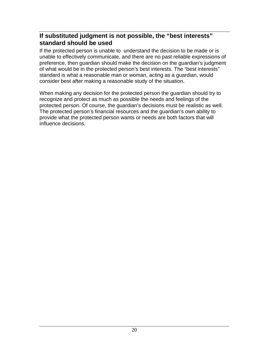## <span id="page-23-0"></span>**If substituted judgment is not possible, the "best interests" standard should be used**

If the protected person is unable to understand the decision to be made or is unable to effectively communicate, and there are no past reliable expressions of preference, then guardian should make the decision on the guardian's judgment of what would be in the protected person's best interests. The "best interests" standard is what a reasonable man or woman, acting as a guardian, would consider best after making a reasonable study of the situation.

When making any decision for the protected person the guardian should try to recognize and protect as much as possible the needs and feelings of the protected person. Of course, the guardian's decisions must be realistic as well. The protected person's financial resources and the guardian's own ability to provide what the protected person wants or needs are both factors that will influence decisions.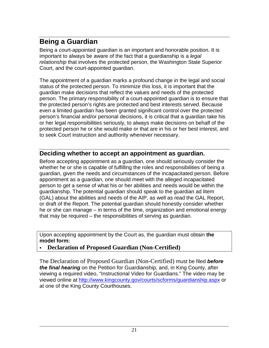# <span id="page-24-0"></span>**Being a Guardian**

Being a court-appointed guardian is an important and honorable position. It is important to always be aware of the fact that a guardianship is a *legal relationship* that involves the protected person, the Washington State Superior Court, and the court-appointed guardian.

The appointment of a guardian marks a profound change in the legal and social status of the protected person. To minimize this loss, it is important that the guardian make decisions that reflect the values and needs of the protected person. The primary responsibility of a court-appointed guardian is to ensure that the protected person's rights are protected and best interests served. Because even a limited guardian has been granted significant control over the protected person's financial and/or personal decisions, it is critical that a guardian take his or her legal responsibilities seriously, to always make decisions on behalf of the protected person he or she would make or that are in his or her best interest, and to seek Court instruction and authority whenever necessary.

## <span id="page-24-1"></span>**Deciding whether to accept an appointment as guardian.**

Before accepting appointment as a guardian, one should seriously consider the whether he or she is capable of fulfilling the roles and responsibilities of being a guardian, given the needs and circumstances of the incapacitated person. Before appointment as a guardian, one should meet with the alleged incapacitated person to get a sense of what his or her abilities and needs would be within the guardianship. The potential guardian should speak to the guardian ad litem (GAL) about the abilities and needs of the AIP, as well as read the GAL Report, or draft of the Report. The potential guardian should honestly consider whether he or she can manage – in terms of the time, organization and emotional energy that may be required – the responsibilities of serving as guardian.

Upon accepting appointment by the Court as, the guardian must obtain **the model form:**

## **Declaration of Proposed Guardian (Non-Certified)**

The Declaration of Proposed Guardian (Non-Certified) must be filed *before the final hearing* on the Petition for Guardianship, and, in King County, after viewing a required video, "Instructional Video for Guardians." The video may be viewed online at<http://www.kingcounty.gov/courts/scforms/guardianship.aspx> or at one of the King County Courthouses.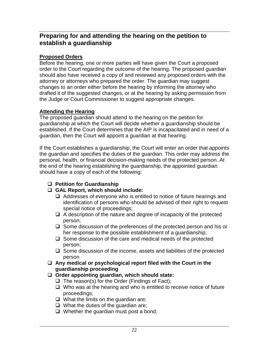## <span id="page-25-0"></span>**Preparing for and attending the hearing on the petition to establish a guardianship**

#### **Proposed Orders**

Before the hearing, one or more parties will have given the Court a proposed order to the Court regarding the outcome of the hearing. The proposed guardian should also have received a copy of and reviewed any proposed orders with the attorney or attorneys who prepared the order. The guardian may suggest changes to an order either before the hearing by informing the attorney who drafted it of the suggested changes, or at the hearing by asking permission from the Judge or Court Commissioner to suggest appropriate changes.

#### **Attending the Hearing**

The proposed guardian should attend to the hearing on the petition for guardianship at which the Court will decide whether a guardianship should be established. If the Court determines that the AIP is incapacitated and in need of a guardian, then the Court will appoint a guardian at that hearing.

If the Court establishes a guardianship, the Court will enter an order that appoints the guardian and specifies the duties of the guardian. This order may address the personal, health, or financial decision-making needs of the protected person. At the end of the hearing establishing the guardianship, the appointed guardian should have a copy of each of the following:

#### **Petition for Guardianship**

#### **GAL Report, which should include:**

- $\Box$  Addresses of everyone who is entitled to notice of future hearings and identification of persons who should be advised of their right to request special notice of proceedings;
- $\Box$  A description of the nature and degree of incapacity of the protected person;
- $\Box$  Some discussion of the preferences of the protected person and his or her response to the possible establishment of a guardianship;
- $\Box$  Some discussion of the care and medical needs of the protected person;
- $\Box$  Some discussion of the income, assets and liabilities of the protected person
- **Any medical or psychological report filed with the Court in the guardianship proceeding**
- **Order appointing guardian, which should state:**
	- $\Box$  The reason(s) for the Order (Findings of Fact);
	- $\Box$  Who was at the hearing and who is entitled to receive notice of future proceedings;
	- $\Box$  What the limits on the guardian are;
	- $\Box$  What the duties of the quardian are;
	- $\Box$  Whether the guardian must post a bond;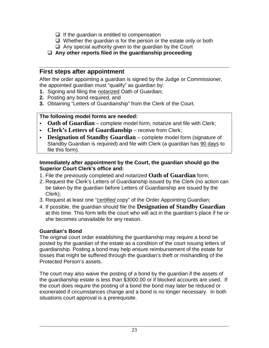- $\Box$  If the guardian is entitled to compensation
- $\Box$  Whether the guardian is for the person or the estate only or both
- $\Box$  Any special authority given to the guardian by the Court
- **Any other reports filed in the guardianship proceeding**

#### <span id="page-26-0"></span>**First steps after appointment**

After the order appointing a guardian is signed by the Judge or Commissioner, the appointed guardian must "qualify" as guardian by:

- **1.** Signing and filing the notarized Oath of Guardian;
- **2.** Posting any bond required, and
- **3.** Obtaining "Letters of Guardianship" from the Clerk of the Court.

#### **The following model forms are needed:**

- **Oath of Guardian** complete model form, notarize and file with Clerk;
- **Clerk's Letters of Guardianship** receive from Clerk;
- **Designation of Standby Guardian** complete model form (signature of Standby Guardian is required) and file with Clerk (a guardian has 90 days to file this form).

#### **Immediately after appointment by the Court, the guardian should go the Superior Court Clerk's office and:**

- 1. File the previously completed and notarized **Oath of Guardian** form;
- 2. Request the Clerk's Letters of Guardianship issued by the Clerk (no action can be taken by the guardian before Letters of Guardianship are issued by the Clerk);
- 3. Request at least one "*certified* copy" of the Order Appointing Guardian;
- 4. If possible, the guardian should file the **Designation of Standby Guardian** at this time. This form tells the court who will act in the guardian's place if he or she becomes unavailable for any reason.

#### **Guardian's Bond**

The original court order establishing the guardianship may require a bond be posted by the guardian of the estate as a condition of the court issuing letters of guardianship. Posting a bond may help ensure reimbursement of the estate for losses that might be suffered through the guardian's theft or mishandling of the Protected Person's assets.

The court may also waive the posting of a bond by the guardian if the assets of the guardianship estate is less than \$3000.00 or if blocked accounts are used. If the court does require the posting of a bond the bond may later be reduced or exonerated if circumstances change and a bond is no longer necessary. In both situations court approval is a prerequisite.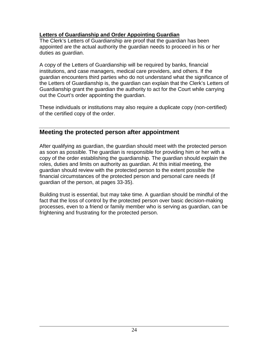#### **Letters of Guardianship and Order Appointing Guardian**

The Clerk's Letters of Guardianship are proof that the guardian has been appointed are the actual authority the guardian needs to proceed in his or her duties as guardian.

A copy of the Letters of Guardianship will be required by banks, financial institutions, and case managers, medical care providers, and others. If the guardian encounters third parties who do not understand what the significance of the Letters of Guardianship is, the guardian can explain that the Clerk's Letters of Guardianship grant the guardian the authority to act for the Court while carrying out the Court's order appointing the guardian.

These individuals or institutions may also require a duplicate copy (non-certified) of the certified copy of the order.

## <span id="page-27-0"></span>**Meeting the protected person after appointment**

After qualifying as guardian, the guardian should meet with the protected person as soon as possible. The guardian is responsible for providing him or her with a copy of the order establishing the guardianship. The guardian should explain the roles, duties and limits on authority as guardian. At this initial meeting, the guardian should review with the protected person to the extent possible the financial circumstances of the protected person and personal care needs (if guardian of the person, at pages 33-35).

Building trust is essential, but may take time. A guardian should be mindful of the fact that the loss of control by the protected person over basic decision-making processes, even to a friend or family member who is serving as guardian, can be frightening and frustrating for the protected person.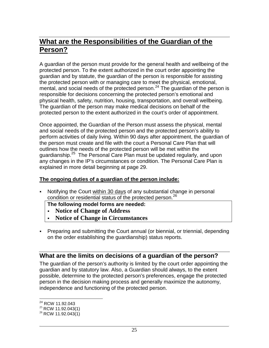# <span id="page-28-0"></span>**What are the Responsibilities of the Guardian of the Person?**

A guardian of the person must provide for the general health and wellbeing of the protected person. To the extent authorized in the court order appointing the guardian and by statute, the guardian of the person is responsible for assisting the protected person with or managing care to meet the physical, emotional, mental, and social needs of the protected person.<sup>[24](#page-28-2)</sup> The guardian of the person is responsible for decisions concerning the protected person's emotional and physical health, safety, nutrition, housing, transportation, and overall wellbeing. The guardian of the person may make medical decisions on behalf of the protected person to the extent authorized in the court's order of appointment.

Once appointed, the Guardian of the Person must assess the physical, mental and social needs of the protected person and the protected person's ability to perform activities of daily living. Within 90 days after appointment, the guardian of the person must create and file with the court a Personal Care Plan that will outlines how the needs of the protected person will be met within the guardianship.<sup>[25](#page-28-3)</sup> The Personal Care Plan must be updated regularly, and upon any changes in the IP's circumstances or condition. The Personal Care Plan is explained in more detail beginning at page 29.

#### **The ongoing duties of a guardian of the person include:**

 Notifying the Court within 30 days of any substantial change in personal condition or residential status of the protected person.<sup>[26](#page-28-4)</sup>

**The following model forms are needed:**

- **Notice of Change of Address**
- **Notice of Change in Circumstances**
- Preparing and submitting the Court annual (or biennial, or triennial, depending on the order establishing the guardianship) status reports.

## <span id="page-28-1"></span>**What are the limits on decisions of a guardian of the person?**

The guardian of the person's authority is limited by the court order appointing the guardian and by statutory law. Also, a Guardian should always, to the extent possible, determine to the protected person's preferences, engage the protected person in the decision making process and generally maximize the autonomy, independence and functioning of the protected person.

<span id="page-28-3"></span><span id="page-28-2"></span> $^{24}$  RCW 11.92.043<br>  $^{25}$  RCW 11.92.043(1)<br>  $^{26}$  RCW 11.92.043(1)

<span id="page-28-4"></span>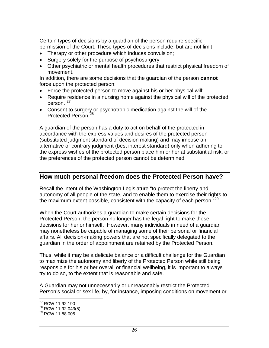Certain types of decisions by a guardian of the person require specific permission of the Court. These types of decisions include, but are not limit

- Therapy or other procedure which induces convulsion;
- Surgery solely for the purpose of psychosurgery
- Other psychiatric or mental health procedures that restrict physical freedom of movement.

In addition, there are some decisions that the guardian of the person **cannot** force upon the protected person:

- Force the protected person to move against his or her physical will;
- Require residence in a nursing home against the physical will of the protected person.<sup>[27](#page-29-1)</sup>
- Consent to surgery or psychotropic medication against the will of the Protected Person.[28](#page-29-2)

A guardian of the person has a duty to act on behalf of the protected in accordance with the express values and desires of the protected person (substituted judgment standard of decision making) and may impose an alternative or contrary judgment (best interest standard) only when adhering to the express wishes of the protected person place him or her at substantial risk, or the preferences of the protected person cannot be determined.

#### <span id="page-29-0"></span>**How much personal freedom does the Protected Person have?**

Recall the intent of the Washington Legislature "to protect the liberty and autonomy of all people of the state, and to enable them to exercise their rights to the maximum extent possible, consistent with the capacity of each person.<sup>7[29](#page-29-3)</sup>

When the Court authorizes a guardian to make certain decisions for the Protected Person, the person no longer has the legal right to make those decisions for her or himself. However, many individuals in need of a guardian may nonetheless be capable of managing some of their personal or financial affairs. All decision-making powers that are not specifically delegated to the guardian in the order of appointment are retained by the Protected Person.

Thus, while it may be a delicate balance or a difficult challenge for the Guardian to maximize the autonomy and liberty of the Protected Person while still being responsible for his or her overall or financial wellbeing, it is important to always try to do so, to the extent that is reasonable and safe.

A Guardian may not unnecessarily or unreasonably restrict the Protected Person's social or sex life, by, for instance, imposing conditions on movement or

<span id="page-29-1"></span> $^{27}$  RCW 11.92.190<br> $^{28}$  RCW 11.92.043(5)

<span id="page-29-3"></span><span id="page-29-2"></span><sup>&</sup>lt;sup>29</sup> RCW 11.88.005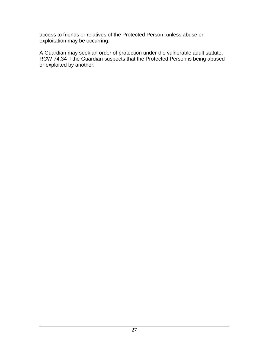access to friends or relatives of the Protected Person, unless abuse or exploitation may be occurring.

A Guardian may seek an order of protection under the vulnerable adult statute, RCW 74.34 if the Guardian suspects that the Protected Person is being abused or exploited by another.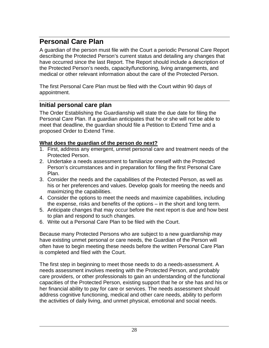# <span id="page-31-0"></span>**Personal Care Plan**

A guardian of the person must file with the Court a periodic Personal Care Report describing the Protected Person's current status and detailing any changes that have occurred since the last Report. The Report should include a description of the Protected Person's needs, capacity/functioning, living arrangements, and medical or other relevant information about the care of the Protected Person.

The first Personal Care Plan must be filed with the Court within 90 days of appointment.

#### <span id="page-31-1"></span>**Initial personal care plan**

The Order Establishing the Guardianship will state the due date for filing the Personal Care Plan. If a guardian anticipates that he or she will not be able to meet that deadline, the guardian should file a Petition to Extend Time and a proposed Order to Extend Time.

#### **What does the guardian of the person do next?**

- 1. First, address any emergent, unmet personal care and treatment needs of the Protected Person.
- 2. Undertake a needs assessment to familiarize oneself with the Protected Person's circumstances and in preparation for filing the first Personal Care Plan.
- 3. Consider the needs and the capabilities of the Protected Person, as well as his or her preferences and values. Develop goals for meeting the needs and maximizing the capabilities.
- 4. Consider the options to meet the needs and maximize capabilities, including the expense, risks and benefits of the options – in the short and long term.
- 5. Anticipate changes that may occur before the next report is due and how best to plan and respond to such changes.
- 6. Write out a Personal Care Plan to be filed with the Court.

Because many Protected Persons who are subject to a new guardianship may have existing unmet personal or care needs, the Guardian of the Person will often have to begin meeting these needs before the written Personal Care Plan is completed and filed with the Court.

The first step in beginning to meet those needs to do a needs-assessment. A needs assessment involves meeting with the Protected Person, and probably care providers, or other professionals to gain an understanding of the functional capacities of the Protected Person, existing support that he or she has and his or her financial ability to pay for care or services. The needs assessment should address cognitive functioning, medical and other care needs, ability to perform the activities of daily living, and unmet physical, emotional and social needs.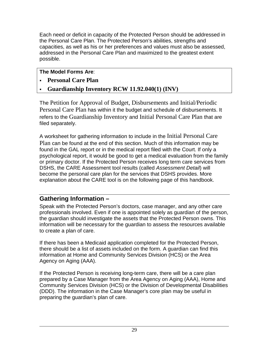Each need or deficit in capacity of the Protected Person should be addressed in the Personal Care Plan. The Protected Person's abilities, strengths and capacities, as well as his or her preferences and values must also be assessed, addressed in the Personal Care Plan and maximized to the greatest extent possible.

#### **The Model Forms Are**:

- **Personal Care Plan**
- **Guardianship Inventory RCW 11.92.040(1) (INV)**

The Petition for Approval of Budget, Disbursements and Initial/Periodic Personal Care Plan has within it the budget and schedule of disbursements. It refers to the Guardianship Inventory and Initial Personal Care Plan that are filed separately.

A worksheet for gathering information to include in the Initial Personal Care Plan can be found at the end of this section. Much of this information may be found in the GAL report or in the medical report filed with the Court. If only a psychological report, it would be good to get a medical evaluation from the family or primary doctor. If the Protected Person receives long term care services from DSHS, the CARE Assessment tool results (called *Assessment Detail*) will become the personal care plan for the services that DSHS provides. More explanation about the CARE tool is on the following page of this handbook.

# <span id="page-32-0"></span>**Gathering Information –**

Speak with the Protected Person's doctors, case manager, and any other care professionals involved. Even if one is appointed solely as guardian of the person, the guardian should investigate the assets that the Protected Person owns. This information will be necessary for the guardian to assess the resources available to create a plan of care.

If there has been a Medicaid application completed for the Protected Person, there should be a list of assets included on the form. A guardian can find this information at Home and Community Services Division (HCS) or the Area Agency on Aging (AAA).

If the Protected Person is receiving long-term care, there will be a care plan prepared by a Case Manager from the Area Agency on Aging (AAA), Home and Community Services Division (HCS) or the Division of Developmental Disabilities (DDD). The information in the Case Manager's core plan may be useful in preparing the guardian's plan of care.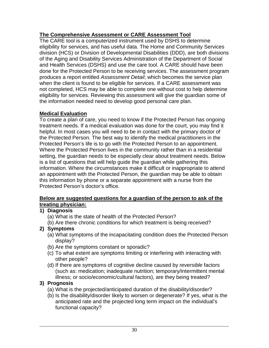#### **The Comprehensive Assessment or CARE Assessment Tool**

The CARE tool is a computerized instrument used by DSHS to determine eligibility for services, and has useful data. The Home and Community Services division (HCS) or Division of Developmental Disabilities (DDD), are both divisions of the Aging and Disability Services Administration of the Department of Social and Health Services (DSHS) and use the care tool. A CARE should have been done for the Protected Person to be receiving services. The assessment program produces a report entitled *Assessment Detail*; which becomes the service plan when the client is found to be eligible for services. If a CARE assessment was not completed, HCS may be able to complete one without cost to help determine eligibility for services. Reviewing this assessment will give the guardian some of the information needed need to develop good personal care plan.

#### **Medical Evaluation**

To create a plan of care, you need to know if the Protected Person has ongoing treatment needs. If a medical evaluation was done for the court, you may find it helpful. In most cases you will need to be in contact with the primary doctor of the Protected Person. The best way to identify the medical practitioners in the Protected Person's life is to go with the Protected Person to an appointment. Where the Protected Person lives in the community rather than in a residential setting, the guardian needs to be especially clear about treatment needs. Below is a list of questions that will help guide the guardian while gathering this information. Where the circumstances make it difficult or inappropriate to attend an appointment with the Protected Person, the guardian may be able to obtain this information by phone or a separate appointment with a nurse from the Protected Person's doctor's office.

#### **Below are suggested questions for a guardian of the person to ask of the treating physician:**

#### **1) Diagnosis**

- (a) What is the state of health of the Protected Person?
- (b) Are there chronic conditions for which treatment is being received?

#### **2) Symptoms**

- (a) What symptoms of the incapacitating condition does the Protected Person display?
- (b) Are the symptoms constant or sporadic?
- (c) To what extent are symptoms limiting or interfering with interacting with other people?
- (d) If there are symptoms of cognitive decline caused by *reversible* factors (such as: medication; inadequate nutrition; temporary/intermittent mental illness; or socio/economic/cultural factors), are they being treated?

#### **3) Prognosis**

- (a) What is the projected/anticipated duration of the disability/disorder?
- (b) Is the disability/disorder likely to worsen or degenerate? If yes, what is the anticipated rate and the projected long term impact on the individual's functional capacity?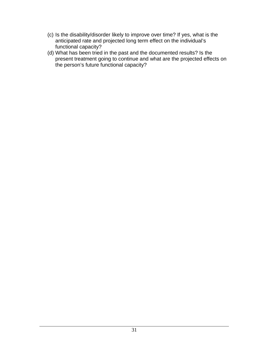- (c) Is the disability/disorder likely to improve over time? If yes, what is the anticipated rate and projected long term effect on the individual's functional capacity?
- (d) What has been tried in the past and the documented results? Is the present treatment going to continue and what are the projected effects on the person's future functional capacity?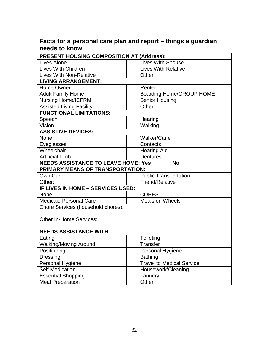| <b>PRESENT HOUSING COMPOSITION AT (Address):</b> |                                  |                                 |  |  |
|--------------------------------------------------|----------------------------------|---------------------------------|--|--|
| Lives Alone                                      |                                  | Lives With Spouse               |  |  |
| <b>Lives With Children</b>                       |                                  | <b>Lives With Relative</b>      |  |  |
| <b>Lives With Non-Relative</b>                   | Other:                           |                                 |  |  |
| <b>LIVING ARRANGEMENT:</b>                       |                                  |                                 |  |  |
| Home Owner                                       | Renter                           |                                 |  |  |
| <b>Adult Family Home</b>                         |                                  | <b>Boarding Home/GROUP HOME</b> |  |  |
| <b>Nursing Home/ICFRM</b>                        |                                  | <b>Senior Housing</b>           |  |  |
| <b>Assisted Living Facility</b>                  | Other:                           |                                 |  |  |
| <b>FUNCTIONAL LIMITATIONS:</b>                   |                                  |                                 |  |  |
| Speech                                           | Hearing                          |                                 |  |  |
| Vision                                           | Walking                          |                                 |  |  |
| <b>ASSISTIVE DEVICES:</b>                        |                                  |                                 |  |  |
| None                                             | <b>Walker/Cane</b>               |                                 |  |  |
| Eyeglasses                                       | Contacts                         |                                 |  |  |
| Wheelchair                                       | <b>Hearing Aid</b>               |                                 |  |  |
| <b>Artificial Limb</b>                           | <b>Dentures</b>                  |                                 |  |  |
| <b>NEEDS ASSISTANCE TO LEAVE HOME: Yes</b>       |                                  | <b>No</b>                       |  |  |
| PRIMARY MEANS OF TRANSPORTATION:                 |                                  |                                 |  |  |
| Own Car                                          |                                  | <b>Public Transportation</b>    |  |  |
| Other:                                           | <b>Friend/Relative</b>           |                                 |  |  |
| IF LIVES IN HOME - SERVICES USED:                |                                  |                                 |  |  |
| <b>None</b>                                      | <b>COPES</b>                     |                                 |  |  |
| <b>Medicaid Personal Care</b>                    | <b>Meals on Wheels</b>           |                                 |  |  |
| Chore Services (household chores):               |                                  |                                 |  |  |
|                                                  |                                  |                                 |  |  |
| <b>Other In-Home Services:</b>                   |                                  |                                 |  |  |
|                                                  |                                  |                                 |  |  |
| <b>NEEDS ASSISTANCE WITH:</b>                    |                                  |                                 |  |  |
| Eating                                           |                                  | Toileting                       |  |  |
| <b>Walking/Moving Around</b>                     |                                  | Transfer                        |  |  |
| Positioning                                      |                                  | Personal Hygiene                |  |  |
| <b>Dressing</b>                                  | <b>Bathing</b>                   |                                 |  |  |
| Personal Hygiene                                 | <b>Travel to Medical Service</b> |                                 |  |  |
| <b>Self Medication</b>                           | Housework/Cleaning               |                                 |  |  |
| <b>Essential Shopping</b>                        | Laundry                          |                                 |  |  |
| <b>Meal Preparation</b>                          | Other                            |                                 |  |  |

## <span id="page-35-0"></span>**Facts for a personal care plan and report – things a guardian needs to know**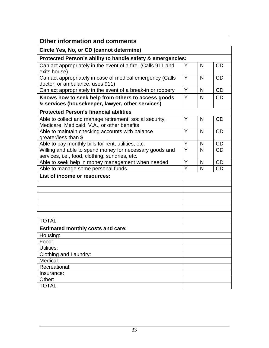<span id="page-36-0"></span>

| <b>Other information and comments</b>                                                                     |   |   |           |
|-----------------------------------------------------------------------------------------------------------|---|---|-----------|
| Circle Yes, No, or CD (cannot determine)                                                                  |   |   |           |
| Protected Person's ability to handle safety & emergencies:                                                |   |   |           |
| Can act appropriately in the event of a fire. (Calls 911 and<br>exits house)                              | Y | N | <b>CD</b> |
| Can act appropriately in case of medical emergency (Calls<br>doctor, or ambulance, uses 911)              | Y | N | <b>CD</b> |
| Can act appropriately in the event of a break-in or robbery                                               | Y | N | <b>CD</b> |
| Knows how to seek help from others to access goods<br>& services (housekeeper, lawyer, other services)    | Y | N | <b>CD</b> |
| <b>Protected Person's financial abilities</b>                                                             |   |   |           |
| Able to collect and manage retirement, social security,<br>Medicare, Medicaid, V.A., or other benefits    | Y | N | <b>CD</b> |
| Able to maintain checking accounts with balance<br>greater/less than \$                                   | Y | N | <b>CD</b> |
| Able to pay monthly bills for rent, utilities, etc.                                                       | Y | N | CD        |
| Willing and able to spend money for necessary goods and<br>services, i.e., food, clothing, sundries, etc. | Y | N | <b>CD</b> |
| Able to seek help in money management when needed                                                         | Y | N | <b>CD</b> |
| Able to manage some personal funds                                                                        | Y | N | <b>CD</b> |
| List of income or resources:                                                                              |   |   |           |
|                                                                                                           |   |   |           |
|                                                                                                           |   |   |           |
|                                                                                                           |   |   |           |
|                                                                                                           |   |   |           |
|                                                                                                           |   |   |           |
| <b>TOTAL</b>                                                                                              |   |   |           |
| <b>Estimated monthly costs and care:</b>                                                                  |   |   |           |
| Housing:                                                                                                  |   |   |           |
| Food:                                                                                                     |   |   |           |
| <b>Utilities:</b>                                                                                         |   |   |           |
| Clothing and Laundry:                                                                                     |   |   |           |
| Medical:                                                                                                  |   |   |           |
| Recreational:                                                                                             |   |   |           |
| Insurance:                                                                                                |   |   |           |
| Other:                                                                                                    |   |   |           |
| <b>TOTAL</b>                                                                                              |   |   |           |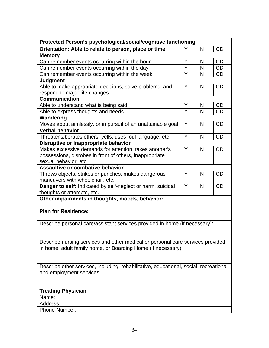| Protected Person's psychological/social/cognitive functioning                            |                         |              |           |  |  |
|------------------------------------------------------------------------------------------|-------------------------|--------------|-----------|--|--|
| Orientation: Able to relate to person, place or time<br>CD<br>N<br>Y                     |                         |              |           |  |  |
| <b>Memory</b>                                                                            |                         |              |           |  |  |
| Y<br>CD<br>Can remember events occurring within the hour<br>N                            |                         |              |           |  |  |
| Can remember events occurring within the day                                             | Y                       | N            | <b>CD</b> |  |  |
| Can remember events occurring within the week                                            | Y                       | $\mathsf{N}$ | CD        |  |  |
| <b>Judgment</b>                                                                          |                         |              |           |  |  |
| Able to make appropriate decisions, solve problems, and<br>respond to major life changes | Y                       | N            | CD        |  |  |
| <b>Communication</b>                                                                     |                         |              |           |  |  |
| Able to understand what is being said                                                    | Y                       | N            | CD        |  |  |
|                                                                                          | $\overline{\mathsf{Y}}$ | $\mathsf{N}$ | <b>CD</b> |  |  |
| Able to express thoughts and needs<br>Wandering                                          |                         |              |           |  |  |
|                                                                                          | Y                       | N            | CD        |  |  |
| Moves about aimlessly, or in pursuit of an unattainable goal                             |                         |              |           |  |  |
| <b>Verbal behavior</b>                                                                   | Y                       |              |           |  |  |
| Threatens/berates others, yells, uses foul language, etc.                                |                         | N            | CD        |  |  |
| Disruptive or inappropriate behavior                                                     |                         |              |           |  |  |
| Makes excessive demands for attention, takes another's                                   | Y                       | N            | CD        |  |  |
| possessions, disrobes in front of others, inappropriate                                  |                         |              |           |  |  |
| sexual behavior, etc.                                                                    |                         |              |           |  |  |
| <b>Assaultive or combative behavior</b>                                                  |                         |              |           |  |  |
| Throws objects, strikes or punches, makes dangerous                                      | Y                       | N            | <b>CD</b> |  |  |
| maneuvers with wheelchair, etc.                                                          |                         |              |           |  |  |
| <b>Danger to self:</b> Indicated by self-neglect or harm, suicidal                       | Y                       | N            | <b>CD</b> |  |  |
| thoughts or attempts, etc.                                                               |                         |              |           |  |  |
| Other impairments in thoughts, moods, behavior:                                          |                         |              |           |  |  |
| <b>Plan for Residence:</b>                                                               |                         |              |           |  |  |
|                                                                                          |                         |              |           |  |  |
|                                                                                          |                         |              |           |  |  |
| Describe personal care/assistant services provided in home (if necessary):               |                         |              |           |  |  |
|                                                                                          |                         |              |           |  |  |
| Describe nursing services and other medical or personal care services provided           |                         |              |           |  |  |
|                                                                                          |                         |              |           |  |  |
| in home, adult family home, or Boarding Home (if necessary):                             |                         |              |           |  |  |
|                                                                                          |                         |              |           |  |  |
| Describe other services, including, rehabilitative, educational, social, recreational    |                         |              |           |  |  |
| and employment services:                                                                 |                         |              |           |  |  |
|                                                                                          |                         |              |           |  |  |
|                                                                                          |                         |              |           |  |  |
| <b>Treating Physician</b>                                                                |                         |              |           |  |  |
| Name:                                                                                    |                         |              |           |  |  |
| Address:                                                                                 |                         |              |           |  |  |
| <b>Phone Number:</b>                                                                     |                         |              |           |  |  |
|                                                                                          |                         |              |           |  |  |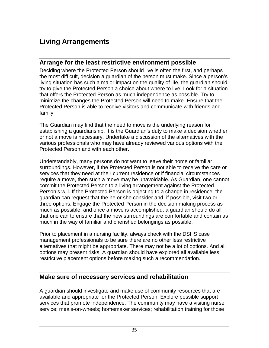# <span id="page-38-0"></span>**Living Arrangements**

#### <span id="page-38-1"></span>**Arrange for the least restrictive environment possible**

Deciding where the Protected Person should live is often the first, and perhaps the most difficult, decision a guardian of the person must make. Since a person's living situation has such a major impact on the quality of life, the guardian should try to give the Protected Person a choice about where to live. Look for a situation that offers the Protected Person as much independence as possible. Try to minimize the changes the Protected Person will need to make. Ensure that the Protected Person is able to receive visitors and communicate with friends and family.

The Guardian may find that the need to move is the underlying reason for establishing a guardianship. It is the Guardian's duty to make a decision whether or not a move is necessary. Undertake a discussion of the alternatives with the various professionals who may have already reviewed various options with the Protected Person and with each other.

Understandably, many persons do not want to leave their home or familiar surroundings. However, if the Protected Person is not able to receive the care or services that they need at their current residence or if financial circumstances require a move, then such a move may be unavoidable. As Guardian, one cannot commit the Protected Person to a living arrangement against the Protected Person's will. If the Protected Person is objecting to a change in residence, the guardian can request that the he or she consider and, if possible, visit two or three options. Engage the Protected Person in the decision making process as much as possible, and once a move is accomplished, a guardian should do all that one can to ensure that the new surroundings are comfortable and contain as much in the way of familiar and cherished belongings as possible.

Prior to placement in a nursing facility, always check with the DSHS case management professionals to be sure there are no other less restrictive alternatives that might be appropriate. There may not be a lot of options. And all options may present risks. A guardian should have explored all available less restrictive placement options before making such a recommendation.

## <span id="page-38-2"></span>**Make sure of necessary services and rehabilitation**

A guardian should investigate and make use of community resources that are available and appropriate for the Protected Person. Explore possible support services that promote independence. The community may have a visiting nurse service; meals-on-wheels; homemaker services; rehabilitation training for those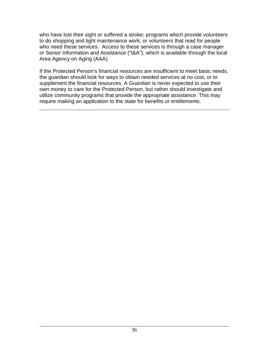who have lost their sight or suffered a stroke; programs which provide volunteers to do shopping and light maintenance work; or volunteers that read for people who need these services. Access to these services is through a case manager or Senior Information and Assistance ("I&A"), which is available through the local Area Agency on Aging (AAA).

If the Protected Person's financial resources are insufficient to meet basic needs, the guardian should look for ways to obtain needed services at no cost, or to supplement the financial resources. A Guardian is never expected to use their own money to care for the Protected Person, but rather should investigate and utilize community programs that provide the appropriate assistance. This may require making an application to the state for benefits or entitlements.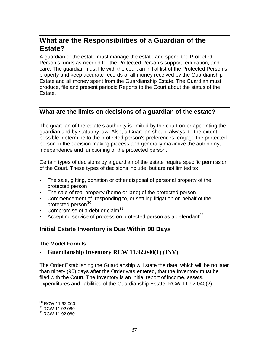# <span id="page-40-0"></span>**What are the Responsibilities of a Guardian of the Estate?**

A guardian of the estate must manage the estate and spend the Protected Person's funds as needed for the Protected Person's support, education, and care. The guardian must file with the court an initial list of the Protected Person's property and keep accurate records of all money received by the Guardianship Estate and all money spent from the Guardianship Estate. The Guardian must produce, file and present periodic Reports to the Court about the status of the Estate.

#### <span id="page-40-1"></span>**What are the limits on decisions of a guardian of the estate?**

The guardian of the estate's authority is limited by the court order appointing the guardian and by statutory law. Also, a Guardian should always, to the extent possible, determine to the protected person's preferences, engage the protected person in the decision making process and generally maximize the autonomy, independence and functioning of the protected person.

Certain types of decisions by a guardian of the estate require specific permission of the Court. These types of decisions include, but are not limited to:

- The sale, gifting, donation or other disposal of personal property of the protected person
- The sale of real property (home or land) of the protected person
- Commencement of, responding to, or settling litigation on behalf of the protected person<sup>[30](#page-40-3)</sup>
- Compromise of a debt or claim $31$
- <span id="page-40-2"></span>Accepting service of process on protected person as a defendant<sup>[32](#page-40-5)</sup>

## **Initial Estate Inventory is Due Within 90 Days**

#### **The Model Form Is**:

#### **Guardianship Inventory RCW 11.92.040(1) (INV)**

The Order Establishing the Guardianship will state the date, which will be no later than ninety (90) days after the Order was entered, that the Inventory must be filed with the Court. The Inventory is an initial report of income, assets, expenditures and liabilities of the Guardianship Estate. RCW 11.92.040(2)

<span id="page-40-4"></span><span id="page-40-3"></span> $\frac{30}{31}$  RCW 11.92.060<br> $\frac{31}{32}$  RCW 11.92.060

<span id="page-40-5"></span>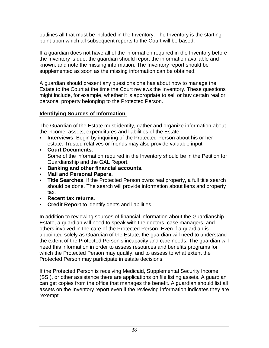outlines all that must be included in the Inventory. The Inventory is the starting point upon which all subsequent reports to the Court will be based.

If a guardian does not have all of the information required in the Inventory before the Inventory is due, the guardian should report the information available and known, and note the missing information. The Inventory report should be supplemented as soon as the missing information can be obtained.

A guardian should present any questions one has about how to manage the Estate to the Court at the time the Court reviews the Inventory. These questions might include, for example, whether it is appropriate to sell or buy certain real or personal property belonging to the Protected Person.

#### **Identifying Sources of Information.**

The Guardian of the Estate must identify, gather and organize information about the income, assets, expenditures and liabilities of the Estate.

- **Interviews**. Begin by inquiring of the Protected Person about his or her estate. Trusted relatives or friends may also provide valuable input.
- **Court Documents**. Some of the information required in the Inventory should be in the Petition for Guardianship and the GAL Report.
- **Banking and other financial accounts.**
- **Mail and Personal Papers.**
- **Title Searches**. If the Protected Person owns real property, a full title search should be done. The search will provide information about liens and property tax.
- **Recent tax returns**.
- **Credit Report** to identify debts and liabilities.

In addition to reviewing sources of financial information about the Guardianship Estate, a guardian will need to speak with the doctors, case managers, and others involved in the care of the Protected Person. Even if a guardian is appointed solely as Guardian of the Estate, the guardian will need to understand the extent of the Protected Person's incapacity and care needs. The guardian will need this information in order to assess resources and benefits programs for which the Protected Person may qualify, and to assess to what extent the Protected Person may participate in estate decisions.

If the Protected Person is receiving Medicaid, Supplemental Security Income (SSI), or other assistance there are applications on file listing assets. A guardian can get copies from the office that manages the benefit. A guardian should list all assets on the Inventory report even if the reviewing information indicates they are "exempt".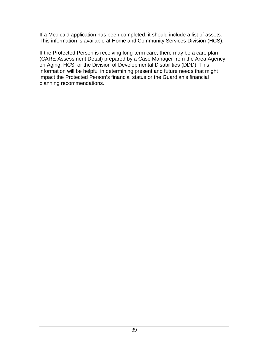If a Medicaid application has been completed, it should include a list of assets. This information is available at Home and Community Services Division (HCS).

If the Protected Person is receiving long-term care, there may be a care plan (CARE Assessment Detail) prepared by a Case Manager from the Area Agency on Aging, HCS, or the Division of Developmental Disabilities (DDD). This information will be helpful in determining present and future needs that might impact the Protected Person's financial status or the Guardian's financial planning recommendations.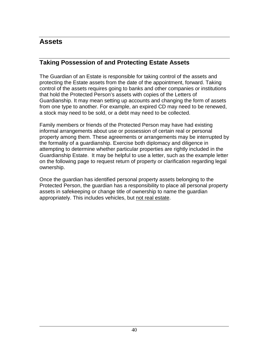# <span id="page-43-0"></span>**Assets**

# <span id="page-43-1"></span>**Taking Possession of and Protecting Estate Assets**

The Guardian of an Estate is responsible for taking control of the assets and protecting the Estate assets from the date of the appointment, forward. Taking control of the assets requires going to banks and other companies or institutions that hold the Protected Person's assets with copies of the Letters of Guardianship. It may mean setting up accounts and changing the form of assets from one type to another. For example, an expired CD may need to be renewed, a stock may need to be sold, or a debt may need to be collected.

Family members or friends of the Protected Person may have had existing informal arrangements about use or possession of certain real or personal property among them. These agreements or arrangements may be interrupted by the formality of a guardianship. Exercise both diplomacy and diligence in attempting to determine whether particular properties are rightly included in the Guardianship Estate. It may be helpful to use a letter, such as the example letter on the following page to request return of property or clarification regarding legal ownership.

Once the guardian has identified personal property assets belonging to the Protected Person, the guardian has a responsibility to place all personal property assets in safekeeping or change title of ownership to name the guardian appropriately. This includes vehicles, but not real estate.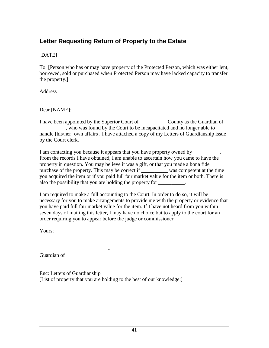# <span id="page-44-0"></span>**Letter Requesting Return of Property to the Estate**

#### [DATE]

To: [Person who has or may have property of the Protected Person, which was either lent, borrowed, sold or purchased when Protected Person may have lacked capacity to transfer the property.]

Address

Dear [NAME]:

I have been appointed by the Superior Court of \_\_\_\_\_\_\_\_\_\_ County as the Guardian of \_\_\_\_\_\_\_\_\_\_, who was found by the Court to be incapacitated and no longer able to handle [his/her] own affairs . I have attached a copy of my Letters of Guardianship issue by the Court clerk.

I am contacting you because it appears that you have property owned by \_\_\_\_\_\_\_\_\_ From the records I have obtained, I am unable to ascertain how you came to have the property in question. You may believe it was a gift, or that you made a bona fide purchase of the property. This may be correct if was competent at the time you acquired the item or if you paid full fair market value for the item or both. There is also the possibility that you are holding the property for \_\_\_\_\_\_\_\_\_\_.

I am required to make a full accounting to the Court. In order to do so, it will be necessary for you to make arrangements to provide me with the property or evidence that you have paid full fair market value for the item. If I have not heard from you within seven days of mailing this letter, I may have no choice but to apply to the court for an order requiring you to appear before the judge or commissioner.

Yours;

\_\_\_\_\_\_\_\_\_\_\_\_\_\_\_\_\_\_\_\_\_\_\_\_\_\_- Guardian of

Enc: Letters of Guardianship [List of property that you are holding to the best of our knowledge:]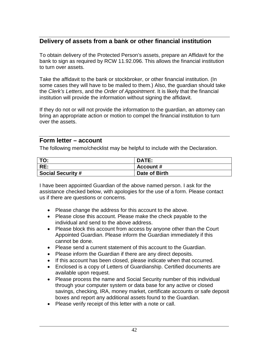## <span id="page-45-0"></span>**Delivery of assets from a bank or other financial institution**

To obtain delivery of the Protected Person's assets, prepare an Affidavit for the bank to sign as required by RCW 11.92.096. This allows the financial institution to turn over assets.

Take the affidavit to the bank or stockbroker, or other financial institution. (In some cases they will have to be mailed to them.) Also, the guardian should take the *Clerk's Letters*, and the *Order of Appointment*. It is likely that the financial institution will provide the information without signing the affidavit.

If they do not or will not provide the information to the guardian, an attorney can bring an appropriate action or motion to compel the financial institution to turn over the assets.

#### <span id="page-45-1"></span>**Form letter – account**

The following memo/checklist may be helpful to include with the Declaration.

| TO:                      | <b>DATE:</b>     |
|--------------------------|------------------|
| RE:                      | <b>Account #</b> |
| <b>Social Security #</b> | Date of Birth    |

I have been appointed Guardian of the above named person. I ask for the assistance checked below, with apologies for the use of a form. Please contact us if there are questions or concerns.

- Please change the address for this account to the above.
- Please close this account. Please make the check payable to the individual and send to the above address.
- Please block this account from access by anyone other than the Court Appointed Guardian. Please inform the Guardian immediately if this cannot be done.
- Please send a current statement of this account to the Guardian.
- Please inform the Guardian if there are any direct deposits.
- If this account has been closed, please indicate when that occurred.
- Enclosed is a copy of Letters of Guardianship. Certified documents are available upon request.
- Please process the name and Social Security number of this individual through your computer system or data base for any active or closed savings, checking, IRA, money market, certificate accounts or safe deposit boxes and report any additional assets found to the Guardian.
- Please verify receipt of this letter with a note or call.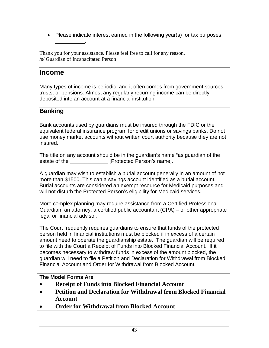• Please indicate interest earned in the following year(s) for tax purposes

Thank you for your assistance. Please feel free to call for any reason. /s/ Guardian of Incapacitated Person

#### <span id="page-46-0"></span>**Income**

\_\_\_\_\_\_\_\_\_\_.

Many types of income is periodic, and it often comes from government sources, trusts, or pensions. Almost any regularly recurring income can be directly deposited into an account at a financial institution.

#### <span id="page-46-1"></span>**Banking**

Bank accounts used by guardians must be insured through the FDIC or the equivalent federal insurance program for credit unions or savings banks. Do not use money market accounts without written court authority because they are not insured.

The title on any account should be in the guardian's name "as guardian of the estate of the \_\_\_\_\_\_\_\_\_\_\_\_\_\_ [Protected Person's name].

A guardian may wish to establish a burial account generally in an amount of not more than \$1500. This can a savings account identified as a burial account. Burial accounts are considered an exempt resource for Medicaid purposes and will not disturb the Protected Person's eligibility for Medicaid services.

More complex planning may require assistance from a Certified Professional Guardian, an attorney, a certified public accountant (CPA) – or other appropriate legal or financial advisor.

The Court frequently requires guardians to ensure that funds of the protected person held in financial institutions must be blocked if in excess of a certain amount need to operate the guardianship estate. The guardian will be required to file with the Court a Receipt of Funds into Blocked Financial Account. If it becomes necessary to withdraw funds in excess of the amount blocked, the guardian will need to file a Petition and Declaration for Withdrawal from Blocked Financial Account and Order for Withdrawal from Blocked Account.

#### **The Model Forms Are**:

- **Receipt of Funds into Blocked Financial Account**
- **Petition and Declaration for Withdrawal from Blocked Financial Account**
- **Order for Withdrawal from Blocked Account**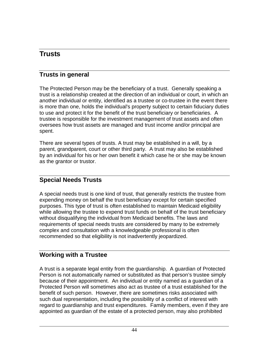# <span id="page-47-0"></span>**Trusts**

## <span id="page-47-1"></span>**Trusts in general**

The Protected Person may be the beneficiary of a trust. Generally speaking a trust is a relationship created at the direction of an individual or court, in which an another individual or entity, identified as a trustee or co-trustee in the event there is more than one, holds the individual's property subject to certain fiduciary duties to use and protect it for the benefit of the trust beneficiary or beneficiaries. A trustee is responsible for the investment management of trust assets and often oversees how trust assets are managed and trust income and/or principal are spent.

There are several types of trusts. A trust may be established in a will, by a parent, grandparent, court or other third party. A trust may also be established by an individual for his or her own benefit it which case he or she may be known as the grantor or trustor.

# <span id="page-47-2"></span>**Special Needs Trusts**

A special needs trust is one kind of trust, that generally restricts the trustee from expending money on behalf the trust beneficiary except for certain specified purposes. This type of trust is often established to maintain Medicaid eligibility while allowing the trustee to expend trust funds on behalf of the trust beneficiary without disqualifying the individual from Medicaid benefits. The laws and requirements of special needs trusts are considered by many to be extremely complex and consultation with a knowledgeable professional is often recommended so that eligibility is not inadvertently jeopardized.

# <span id="page-47-3"></span>**Working with a Trustee**

A trust is a separate legal entity from the guardianship. A guardian of Protected Person is not automatically named or substituted as that person's trustee simply because of their appointment. An individual or entity named as a guardian of a Protected Person will sometimes also act as trustee of a trust established for the benefit of such person. However, there are sometimes risks associated with such dual representation, including the possibility of a conflict of interest with regard to guardianship and trust expenditures. Family members, even if they are appointed as guardian of the estate of a protected person, may also prohibited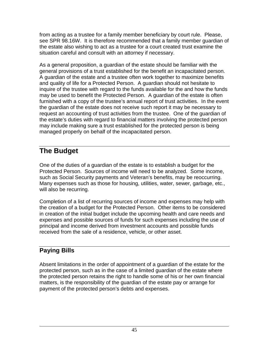from acting as a trustee for a family member beneficiary by court rule. Please, see SPR 98.16W. It is therefore recommended that a family member guardian of the estate also wishing to act as a trustee for a court created trust examine the situation careful and consult with an attorney if necessary.

As a general proposition, a guardian of the estate should be familiar with the general provisions of a trust established for the benefit an incapacitated person. A guardian of the estate and a trustee often work together to maximize benefits and quality of life for a Protected Person. A guardian should not hesitate to inquire of the trustee with regard to the funds available for the and how the funds may be used to benefit the Protected Person. A guardian of the estate is often furnished with a copy of the trustee's annual report of trust activities. In the event the guardian of the estate does not receive such report it may be necessary to request an accounting of trust activities from the trustee. One of the guardian of the estate's duties with regard to financial matters involving the protected person may include making sure a trust established for the protected person is being managed properly on behalf of the incapacitated person.

# <span id="page-48-0"></span>**The Budget**

One of the duties of a guardian of the estate is to establish a budget for the Protected Person. Sources of income will need to be analyzed. Some income, such as Social Security payments and Veteran's benefits, may be reoccurring. Many expenses such as those for housing, utilities, water, sewer, garbage, etc., will also be recurring.

Completion of a list of recurring sources of income and expenses may help with the creation of a budget for the Protected Person. Other items to be considered in creation of the initial budget include the upcoming health and care needs and expenses and possible sources of funds for such expenses including the use of principal and income derived from investment accounts and possible funds received from the sale of a residence, vehicle, or other asset.

# <span id="page-48-1"></span>**Paying Bills**

Absent limitations in the order of appointment of a guardian of the estate for the protected person, such as in the case of a limited guardian of the estate where the protected person retains the right to handle some of his or her own financial matters, is the responsibility of the guardian of the estate pay or arrange for payment of the protected person's debts and expenses.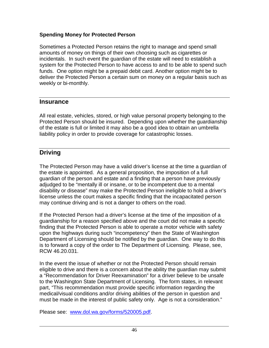#### **Spending Money for Protected Person**

Sometimes a Protected Person retains the right to manage and spend small amounts of money on things of their own choosing such as cigarettes or incidentals. In such event the guardian of the estate will need to establish a system for the Protected Person to have access to and to be able to spend such funds. One option might be a prepaid debit card. Another option might be to deliver the Protected Person a certain sum on money on a regular basis such as weekly or bi-monthly.

#### <span id="page-49-0"></span>**Insurance**

All real estate, vehicles, stored, or high value personal property belonging to the Protected Person should be insured. Depending upon whether the guardianship of the estate is full or limited it may also be a good idea to obtain an umbrella liability policy in order to provide coverage for catastrophic losses.

# <span id="page-49-1"></span>**Driving**

The Protected Person may have a valid driver's license at the time a guardian of the estate is appointed. As a general proposition, the imposition of a full guardian of the person and estate and a finding that a person have previously adjudged to be "mentally ill or insane, or to be incompetent due to a mental disability or disease" may make the Protected Person ineligible to hold a driver's license unless the court makes a specific finding that the incapacitated person may continue driving and is not a danger to others on the road.

If the Protected Person had a driver's license at the time of the imposition of a guardianship for a reason specified above and the court did not make a specific finding that the Protected Person is able to operate a motor vehicle with safety upon the highways during such "incompetency" then the State of Washington Department of Licensing should be notified by the guardian. One way to do this is to forward a copy of the order to The Department of Licensing. Please, see, RCW 46.20.031.

In the event the issue of whether or not the Protected Person should remain eligible to drive and there is a concern about the ability the guardian may submit a "Recommendation for Driver Reexamination" for a driver believe to be unsafe to the Washington State Department of Licensing. The form states, in relevant part, "This recommendation must provide specific information regarding the medical/visual conditions and/or driving abilities of the person in question and must be made in the interest of public safety only. Age is not a consideration."

Please see: [www.dol.wa.gov/forms/520005.pdf.](http://www.dol.wa.gov/forms/520005.pdf)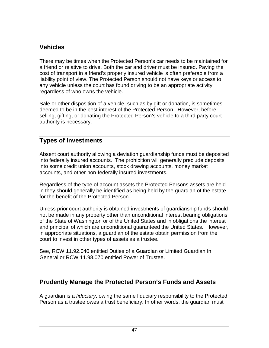## <span id="page-50-0"></span>**Vehicles**

There may be times when the Protected Person's car needs to be maintained for a friend or relative to drive. Both the car and driver must be insured. Paying the cost of transport in a friend's properly insured vehicle is often preferable from a liability point of view. The Protected Person should not have keys or access to any vehicle unless the court has found driving to be an appropriate activity, regardless of who owns the vehicle.

Sale or other disposition of a vehicle, such as by gift or donation, is sometimes deemed to be in the best interest of the Protected Person. However, before selling, gifting, or donating the Protected Person's vehicle to a third party court authority is necessary.

## <span id="page-50-1"></span>**Types of Investments**

Absent court authority allowing a deviation guardianship funds must be deposited into federally insured accounts. The prohibition will generally preclude deposits into some credit union accounts, stock drawing accounts, money market accounts, and other non-federally insured investments.

Regardless of the type of account assets the Protected Persons assets are held in they should generally be identified as being held by the guardian of the estate for the benefit of the Protected Person.

Unless prior court authority is obtained investments of guardianship funds should not be made in any property other than unconditional interest bearing obligations of the State of Washington or of the United States and in obligations the interest and principal of which are unconditional guaranteed the United States. However, in appropriate situations, a guardian of the estate obtain permission from the court to invest in other types of assets as a trustee.

See, RCW 11.92.040 entitled Duties of a Guardian or Limited Guardian In General or RCW 11.98.070 entitled Power of Trustee.

## <span id="page-50-2"></span>**Prudently Manage the Protected Person's Funds and Assets**

A guardian is a *fiduciary*, owing the same fiduciary responsibility to the Protected Person as a trustee owes a trust beneficiary. In other words, the guardian must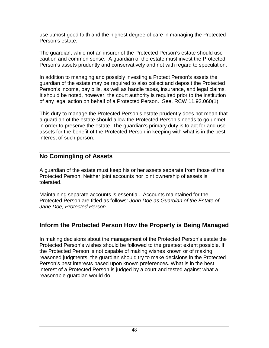use utmost good faith and the highest degree of care in managing the Protected Person's estate.

The guardian, while not an insurer of the Protected Person's estate should use caution and common sense. A guardian of the estate must invest the Protected Person's assets prudently and conservatively and not with regard to speculation.

In addition to managing and possibly investing a Protect Person's assets the guardian of the estate may be required to also collect and deposit the Protected Person's income, pay bills, as well as handle taxes, insurance, and legal claims. It should be noted, however, the court authority is required prior to the institution of any legal action on behalf of a Protected Person. See, RCW 11.92.060(1).

This duty to manage the Protected Person's estate prudently does not mean that a guardian of the estate should allow the Protected Person's needs to go unmet in order to preserve the estate. The guardian's primary duty is to act for and use assets for the benefit of the Protected Person in keeping with what is in the best interest of such person.

# <span id="page-51-0"></span>**No Comingling of Assets**

A guardian of the estate must keep his or her assets separate from those of the Protected Person. Neither joint accounts nor joint ownership of assets is tolerated.

Maintaining separate accounts is essential. Accounts maintained for the Protected Person are titled as follows: *John Doe as Guardian of the Estate of Jane Doe, Protected Person.*

## <span id="page-51-1"></span>**Inform the Protected Person How the Property is Being Managed**

In making decisions about the management of the Protected Person's estate the Protected Person's wishes should be followed to the greatest extent possible. If the Protected Person is not capable of making wishes known or of making reasoned judgments, the guardian should try to make decisions in the Protected Person's best interests based upon known preferences. What is in the best interest of a Protected Person is judged by a court and tested against what a reasonable guardian would do.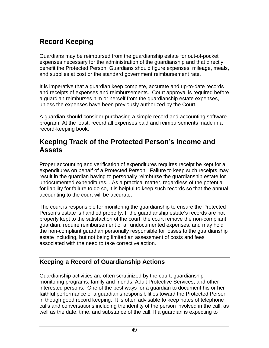# <span id="page-52-0"></span>**Record Keeping**

Guardians may be reimbursed from the guardianship estate for out-of-pocket expenses necessary for the administration of the guardianship and that directly benefit the Protected Person. Guardians should figure expenses, mileage, meals, and supplies at cost or the standard government reimbursement rate.

It is imperative that a guardian keep complete, accurate and up-to-date records and receipts of expenses and reimbursements. Court approval is required before a guardian reimburses him or herself from the guardianship estate expenses, unless the expenses have been previously authorized by the Court.

A guardian should consider purchasing a simple record and accounting software program. At the least, record all expenses paid and reimbursements made in a record-keeping book.

# <span id="page-52-1"></span>**Keeping Track of the Protected Person's Income and Assets**

Proper accounting and verification of expenditures requires receipt be kept for all expenditures on behalf of a Protected Person. Failure to keep such receipts may result in the guardian having to personally reimburse the guardianship estate for undocumented expenditures. . As a practical matter, regardless of the potential for liability for failure to do so, it is helpful to keep such records so that the annual accounting to the court will be accurate.

The court is responsible for monitoring the guardianship to ensure the Protected Person's estate is handled properly. If the guardianship estate's records are not properly kept to the satisfaction of the court, the court remove the non-compliant guardian, require reimbursement of all undocumented expenses, and may hold the non-compliant guardian personally responsible for losses to the guardianship estate including, but not being limited an assessment of costs and fees associated with the need to take corrective action.

# <span id="page-52-2"></span>**Keeping a Record of Guardianship Actions**

Guardianship activities are often scrutinized by the court, guardianship monitoring programs, family and friends, Adult Protective Services, and other interested persons. One of the best ways for a guardian to document his or her faithful performance of a guardian's responsibilities toward the Protected Person in though good record keeping. It is often advisable to keep notes of telephone calls and conversations including the identity of the person involved in the call, as well as the date, time, and substance of the call. If a guardian is expecting to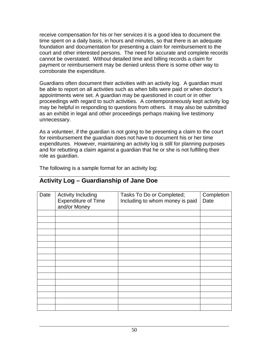receive compensation for his or her services it is a good idea to document the time spent on a daily basis, in hours and minutes, so that there is an adequate foundation and documentation for presenting a claim for reimbursement to the court and other interested persons. The need for accurate and complete records cannot be overstated. Without detailed time and billing records a claim for payment or reimbursement may be denied unless there is some other way to corroborate the expenditure.

Guardians often document their activities with an activity log. A guardian must be able to report on all activities such as when bills were paid or when doctor's appointments were set. A guardian may be questioned in court or in other proceedings with regard to such activities. A contemporaneously kept activity log may be helpful in responding to questions from others. It may also be submitted as an exhibit in legal and other proceedings perhaps making live testimony unnecessary.

As a volunteer, if the guardian is not going to be presenting a claim to the court for reimbursement the guardian does not have to document his or her time expenditures. However, maintaining an activity log is still for planning purposes and for rebutting a claim against a guardian that he or she is not fulfilling their role as guardian.

<span id="page-53-0"></span>The following is a sample format for an activity log:

| Date | <b>Activity Including</b><br><b>Expenditure of Time</b><br>and/or Money | Tasks To Do or Completed;<br>Including to whom money is paid | Completion<br>Date |
|------|-------------------------------------------------------------------------|--------------------------------------------------------------|--------------------|
|      |                                                                         |                                                              |                    |
|      |                                                                         |                                                              |                    |
|      |                                                                         |                                                              |                    |
|      |                                                                         |                                                              |                    |
|      |                                                                         |                                                              |                    |
|      |                                                                         |                                                              |                    |
|      |                                                                         |                                                              |                    |
|      |                                                                         |                                                              |                    |
|      |                                                                         |                                                              |                    |
|      |                                                                         |                                                              |                    |
|      |                                                                         |                                                              |                    |
|      |                                                                         |                                                              |                    |
|      |                                                                         |                                                              |                    |
|      |                                                                         |                                                              |                    |
|      |                                                                         |                                                              |                    |
|      |                                                                         |                                                              |                    |

# **Activity Log – Guardianship of Jane Doe**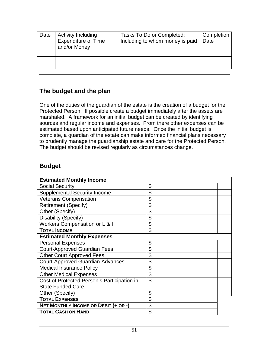| Completion<br>Date | Tasks To Do or Completed;<br>Including to whom money is paid | Activity Including<br>Expenditure of Time<br>and/or Money | Date |
|--------------------|--------------------------------------------------------------|-----------------------------------------------------------|------|
|                    |                                                              |                                                           |      |
|                    |                                                              |                                                           |      |
|                    |                                                              |                                                           |      |
|                    |                                                              |                                                           |      |

## <span id="page-54-0"></span>**The budget and the plan**

One of the duties of the guardian of the estate is the creation of a budget for the Protected Person. If possible create a budget immediately after the assets are marshaled. A framework for an initial budget can be created by identifying sources and regular income and expenses. From there other expenses can be estimated based upon anticipated future needs. Once the initial budget is complete, a guardian of the estate can make informed financial plans necessary to prudently manage the guardianship estate and care for the Protected Person. The budget should be revised regularly as circumstances change.

#### <span id="page-54-1"></span>**Budget**

| <b>Estimated Monthly Income</b>             |    |
|---------------------------------------------|----|
| <b>Social Security</b>                      | \$ |
| <b>Supplemental Security Income</b>         | \$ |
| <b>Veterans Compensation</b>                | \$ |
| <b>Retirement (Specify)</b>                 | \$ |
| Other (Specify)                             | \$ |
| Disability (Specify)                        | \$ |
| Workers Compensation or L & I               | \$ |
| <b>TOTAL INCOME</b>                         | \$ |
| <b>Estimated Monthly Expenses</b>           |    |
| <b>Personal Expenses</b>                    | \$ |
| <b>Court-Approved Guardian Fees</b>         | \$ |
| <b>Other Court Approved Fees</b>            | \$ |
| <b>Court-Approved Guardian Advances</b>     | \$ |
| <b>Medical Insurance Policy</b>             | \$ |
| <b>Other Medical Expenses</b>               | \$ |
| Cost of Protected Person's Participation in | \$ |
| <b>State Funded Care</b>                    |    |
| Other (Specify)                             | \$ |
| <b>TOTAL EXPENSES</b>                       | \$ |
| <b>NET MONTHLY INCOME OR DEBIT (+ OR -)</b> | \$ |
| <b>TOTAL CASH ON HAND</b>                   | \$ |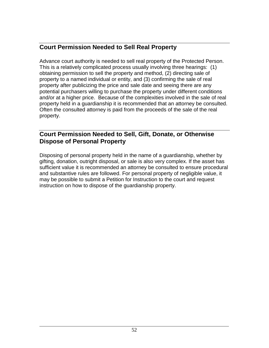# <span id="page-55-0"></span>**Court Permission Needed to Sell Real Property**

Advance court authority is needed to sell real property of the Protected Person. This is a relatively complicated process usually involving three hearings: (1) obtaining permission to sell the property and method, (2) directing sale of property to a named individual or entity, and (3) confirming the sale of real property after publicizing the price and sale date and seeing there are any potential purchasers willing to purchase the property under different conditions and/or at a higher price. Because of the complexities involved in the sale of real property held in a guardianship it is recommended that an attorney be consulted. Often the consulted attorney is paid from the proceeds of the sale of the real property.

#### <span id="page-55-1"></span>**Court Permission Needed to Sell, Gift, Donate, or Otherwise Dispose of Personal Property**

Disposing of personal property held in the name of a guardianship, whether by gifting, donation, outright disposal, or sale is also very complex. If the asset has sufficient value it is recommended an attorney be consulted to ensure procedural and substantive rules are followed. For personal property of negligible value, it may be possible to submit a Petition for Instruction to the court and request instruction on how to dispose of the guardianship property.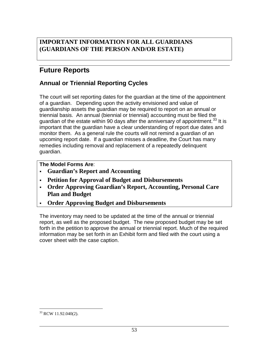#### **IMPORTANT INFORMATION FOR ALL GUARDIANS (GUARDIANS OF THE PERSON AND/OR ESTATE)**

# <span id="page-56-0"></span>**Future Reports**

## <span id="page-56-1"></span>**Annual or Triennial Reporting Cycles**

The court will set reporting dates for the guardian at the time of the appointment of a guardian. Depending upon the activity envisioned and value of guardianship assets the guardian may be required to report on an annual or triennial basis. An annual (biennial or triennial) accounting must be filed the quardian of the estate within 90 days after the anniversary of appointment.<sup>[33](#page-56-2)</sup> It is important that the guardian have a clear understanding of report due dates and monitor them. As a general rule the courts will not remind a guardian of an upcoming report date. If a guardian misses a deadline, the Court has many remedies including removal and replacement of a repeatedly delinquent guardian.

**The Model Forms Are**:

- **Guardian's Report and Accounting**
- **Petition for Approval of Budget and Disbursements**
- **Order Approving Guardian's Report, Accounting, Personal Care Plan and Budget**
- **Order Approving Budget and Disbursements**

The inventory may need to be updated at the time of the annual or triennial report, as well as the proposed budget. The new proposed budget may be set forth in the petition to approve the annual or triennial report. Much of the required information may be set forth in an Exhibit form and filed with the court using a cover sheet with the case caption.

<span id="page-56-2"></span><sup>&</sup>lt;sup>33</sup> RCW 11.92.040(2).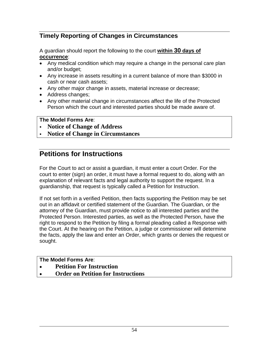# <span id="page-57-0"></span>**Timely Reporting of Changes in Circumstances**

A guardian should report the following to the court **within 30 days of occurrence**:

- Any medical condition which may require a change in the personal care plan and/or budget;
- Any increase in assets resulting in a current balance of more than \$3000 in cash or near cash assets;
- Any other major change in assets, material increase or decrease;
- Address changes;
- Any other material change in circumstances affect the life of the Protected Person which the court and interested parties should be made aware of.

#### **The Model Forms Are**:

- **Notice of Change of Address**
- **Notice of Change in Circumstances**

# <span id="page-57-1"></span>**Petitions for Instructions**

For the Court to act or assist a guardian, it must enter a court Order. For the court to enter (sign) an order, it must have a formal request to do, along with an explanation of relevant facts and legal authority to support the request. In a guardianship, that request is typically called a Petition for Instruction.

If not set forth in a verified Petition, then facts supporting the Petition may be set out in an affidavit or certified statement of the Guardian. The Guardian, or the attorney of the Guardian, must provide notice to all interested parties and the Protected Person. Interested parties, as well as the Protected Person, have the right to respond to the Petition by filing a formal pleading called a Response with the Court. At the hearing on the Petition, a judge or commissioner will determine the facts, apply the law and enter an Order, which grants or denies the request or sought.

#### **The Model Forms Are**:

- **Petition For Instruction**
- **Order on Petition for Instructions**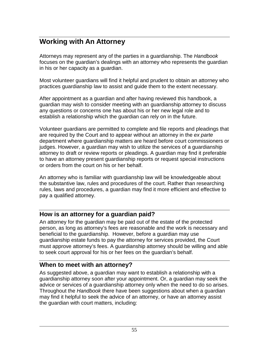# <span id="page-58-0"></span>**Working with An Attorney**

Attorneys may represent any of the parties in a guardianship. The *Handbook* focuses on the guardian's dealings with an attorney who represents the guardian in his or her capacity as a guardian.

Most volunteer guardians will find it helpful and prudent to obtain an attorney who practices guardianship law to assist and guide them to the extent necessary.

After appointment as a guardian and after having reviewed this handbook, a guardian may wish to consider meeting with an guardianship attorney to discuss any questions or concerns one has about his or her new legal role and to establish a relationship which the guardian can rely on in the future.

Volunteer guardians are permitted to complete and file reports and pleadings that are required by the Court and to appear without an attorney in the *ex parte* department where guardianship matters are heard before court commissioners or judges. However, a guardian may wish to utilize the services of a guardianship attorney to draft or review reports or pleadings. A guardian may find it preferable to have an attorney present guardianship reports or request special instructions or orders from the court on his or her behalf.

An attorney who is familiar with guardianship law will be knowledgeable about the substantive law, rules and procedures of the court. Rather than researching rules, laws and procedures, a guardian may find it more efficient and effective to pay a qualified attorney.

#### <span id="page-58-1"></span>**How is an attorney for a guardian paid?**

An attorney for the guardian may be paid out of the estate of the protected person, as long as attorney's fees are reasonable and the work is necessary and beneficial to the guardianship. However, before a guardian may use guardianship estate funds to pay the attorney for services provided, the Court must approve attorney's fees. A guardianship attorney should be willing and able to seek court approval for his or her fees on the guardian's behalf.

#### <span id="page-58-2"></span>**When to meet with an attorney?**

As suggested above, a guardian may want to establish a relationship with a guardianship attorney soon after your appointment. Or, a guardian may seek the advice or services of a guardianship attorney only when the need to do so arises. Throughout the *Handbook* there have been suggestions about when a guardian may find it helpful to seek the advice of an attorney, or have an attorney assist the guardian with court matters, including: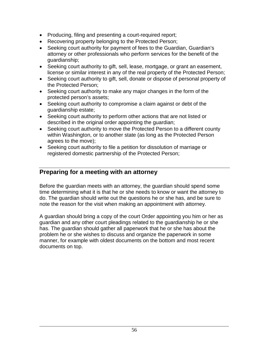- Producing, filing and presenting a court-required report;
- Recovering property belonging to the Protected Person;
- Seeking court authority for payment of fees to the Guardian, Guardian's attorney or other professionals who perform services for the benefit of the guardianship;
- Seeking court authority to gift, sell, lease, mortgage, or grant an easement, license or similar interest in any of the real property of the Protected Person;
- Seeking court authority to gift, sell, donate or dispose of personal property of the Protected Person;
- Seeking court authority to make any major changes in the form of the protected person's assets;
- Seeking court authority to compromise a claim against or debt of the guardianship estate;
- Seeking court authority to perform other actions that are not listed or described in the original order appointing the guardian;
- Seeking court authority to move the Protected Person to a different county within Washington, or to another state (as long as the Protected Person agrees to the move);
- Seeking court authority to file a petition for dissolution of marriage or registered domestic partnership of the Protected Person;

## <span id="page-59-0"></span>**Preparing for a meeting with an attorney**

Before the guardian meets with an attorney, the guardian should spend some time determining what it is that he or she needs to know or want the attorney to do. The guardian should write out the questions he or she has, and be sure to note the reason for the visit when making an appointment with attorney.

A guardian should bring a copy of the court Order appointing you him or her as guardian and any other court pleadings related to the guardianship he or she has. The guardian should gather all paperwork that he or she has about the problem he or she wishes to discuss and organize the paperwork in some manner, for example with oldest documents on the bottom and most recent documents on top.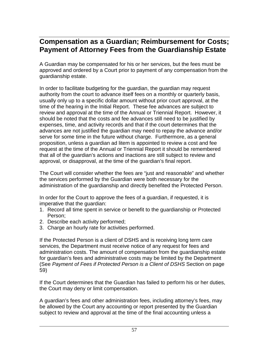# <span id="page-60-0"></span>**Compensation as a Guardian; Reimbursement for Costs; Payment of Attorney Fees from the Guardianship Estate**

A Guardian may be compensated for his or her services, but the fees must be approved and ordered by a Court prior to payment of any compensation from the guardianship estate.

In order to facilitate budgeting for the guardian, the guardian may request authority from the court to advance itself fees on a monthly or quarterly basis, usually only up to a specific dollar amount without prior court approval, at the time of the hearing in the Initial Report. These fee advances are subject to review and approval at the time of the Annual or Triennial Report. However, it should be noted that the costs and fee advances still need to be justified by expenses, time, and activity records and that if the court determines that the advances are not justified the guardian may need to repay the advance and/or serve for some time in the future without charge. Furthermore, as a general proposition, unless a guardian ad litem is appointed to review a cost and fee request at the time of the Annual or Triennial Report it should be remembered that all of the guardian's actions and inactions are still subject to review and approval, or disapproval, at the time of the guardian's final report.

The Court will consider whether the fees are "just and reasonable" and whether the services performed by the Guardian were both necessary for the administration of the guardianship and directly benefited the Protected Person.

In order for the Court to approve the fees of a guardian, if requested, it is imperative that the guardian:

- 1. Record all time spent in service or benefit to the guardianship or Protected Person;
- 2. Describe each activity performed;
- 3. Charge an hourly rate for activities performed.

If the Protected Person is a client of DSHS and is receiving long term care services, the Department must receive notice of any request for fees and administration costs. The amount of compensation from the guardianship estate for guardian's fees and administrative costs may be limited by the Department (See *Payment of Fees if Protected Person is a Client of DSHS* Section on page 59)

If the Court determines that the Guardian has failed to perform his or her duties, the Court may deny or limit compensation.

A guardian's fees and other administration fees, including attorney's fees, may be allowed by the Court any accounting or report presented by the Guardian subject to review and approval at the time of the final accounting unless a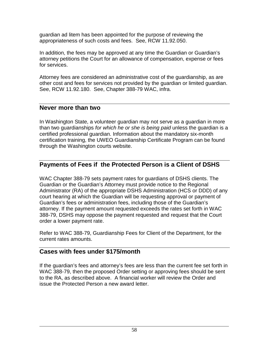guardian ad litem has been appointed for the purpose of reviewing the appropriateness of such costs and fees. See, RCW 11.92.050.

In addition, the fees may be approved at any time the Guardian or Guardian's attorney petitions the Court for an allowance of compensation, expense or fees for services.

Attorney fees are considered an administrative cost of the guardianship, as are other cost and fees for services not provided by the guardian or limited guardian. See, RCW 11.92.180. See, Chapter 388-79 WAC, infra.

#### <span id="page-61-0"></span>**Never more than two**

In Washington State, a volunteer guardian may not serve as a guardian in more than two guardianships *for which he or she is being paid* unless the guardian is a certified professional guardian. Information about the mandatory six-month certification training, the UWEO Guardianship Certificate Program can be found through the Washington courts website.

# <span id="page-61-1"></span>**Payments of Fees if the Protected Person is a Client of DSHS**

WAC Chapter 388-79 sets payment rates for guardians of DSHS clients. The Guardian or the Guardian's Attorney must provide notice to the Regional Administrator (RA) of the appropriate DSHS Administration (HCS or DDD) of any court hearing at which the Guardian will be requesting approval or payment of Guardian's fees or administration fees, including those of the Guardian's attorney. If the payment amount requested exceeds the rates set forth in WAC 388-79, DSHS may oppose the payment requested and request that the Court order a lower payment rate.

Refer to WAC 388-79, Guardianship Fees for Client of the Department, for the current rates amounts.

## <span id="page-61-2"></span>**Cases with fees under \$175/month**

If the guardian's fees and attorney's fees are less than the current fee set forth in WAC 388-79, then the proposed Order setting or approving fees should be sent to the RA, as described above. A financial worker will review the Order and issue the Protected Person a new award letter.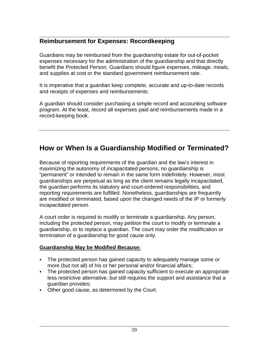# <span id="page-62-0"></span>**Reimbursement for Expenses: Recordkeeping**

Guardians may be reimbursed from the guardianship estate for out-of-pocket expenses necessary for the administration of the guardianship and that directly benefit the Protected Person. Guardians should figure expenses, mileage, meals, and supplies at cost or the standard government reimbursement rate.

It is imperative that a guardian keep complete, accurate and up-to-date records and receipts of expenses and reimbursements.

A guardian should consider purchasing a simple record and accounting software program. At the least, record all expenses paid and reimbursements made in a record-keeping book.

# <span id="page-62-1"></span>**How or When Is a Guardianship Modified or Terminated?**

Because of reporting requirements of the guardian and the law's interest in maximizing the autonomy of incapacitated persons, no guardianship is "permanent" or intended to remain in the same form indefinitely. However, most guardianships are perpetual as long as the client remains legally incapacitated, the guardian performs its statutory and court-ordered responsibilities, and reporting requirements are fulfilled. Nonetheless, guardianships are frequently are modified or terminated, based upon the changed needs of the IP or formerly incapacitated person.

A court order is required to modify or terminate a guardianship. Any person, including the protected person, may petition the court to modify or terminate a guardianship, or to replace a guardian. The court may order the modification or termination of a guardianship for good cause only.

#### **Guardianship May be Modified Because:**

- The protected person has gained capacity to adequately manage some or more (but not all) of his or her personal and/or financial affairs;
- The protected person has gained capacity sufficient to execute an appropriate less restrictive alternative, but still requires the support and assistance that a guardian provides;
- **Other good cause, as determined by the Court.**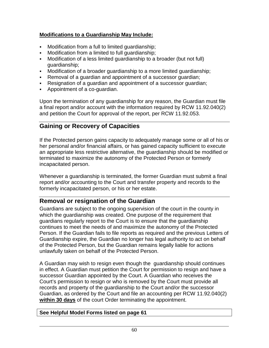#### **Modifications to a Guardianship May Include:**

- Modification from a full to limited guardianship;
- **Modification from a limited to full quardianship;**
- Modification of a less limited guardianship to a broader (but not full) guardianship;
- Modification of a broader guardianship to a more limited guardianship;
- Removal of a guardian and appointment of a successor guardian;
- Resignation of a guardian and appointment of a successor guardian;
- Appointment of a co-guardian.

Upon the termination of any guardianship for any reason, the Guardian must file a final report and/or account with the information required by RCW 11.92.040(2) and petition the Court for approval of the report, per RCW 11.92.053.

# <span id="page-63-0"></span>**Gaining or Recovery of Capacities**

If the Protected person gains capacity to adequately manage some or all of his or her personal and/or financial affairs, or has gained capacity sufficient to execute an appropriate less restrictive alternative, the guardianship should be modified or terminated to maximize the autonomy of the Protected Person or formerly incapacitated person.

Whenever a guardianship is terminated, the former Guardian must submit a final report and/or accounting to the Court and transfer property and records to the formerly incapacitated person, or his or her estate.

# <span id="page-63-1"></span>**Removal or resignation of the Guardian**

Guardians are subject to the ongoing supervision of the court in the county in which the guardianship was created. One purpose of the requirement that guardians regularly report to the Court is to ensure that the guardianship continues to meet the needs of and maximize the autonomy of the Protected Person. If the Guardian fails to file reports as required and the previous Letters of Guardianship expire, the Guardian no longer has legal authority to act on behalf of the Protected Person, but the Guardian remains legally liable for actions unlawfully taken on behalf of the Protected Person.

A Guardian may wish to resign even though the guardianship should continues in effect. A Guardian must petition the Court for permission to resign and have a successor Guardian appointed by the Court. A Guardian who receives the Court's permission to resign or who is removed by the Court must provide all records and property of the guardianship to the Court and/or the successor Guardian, as ordered by the Court and file an accounting per RCW 11.92.040(2) **within 30 days** of the court Order terminating the appointment.

#### **See Helpful Model Forms listed on page 61**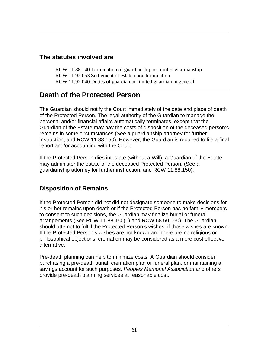## **The statutes involved are**

RCW 11.88.140 Termination of guardianship or limited guardianship RCW 11.92.053 Settlement of estate upon termination RCW 11.92.040 Duties of guardian or limited guardian in general

# <span id="page-64-0"></span>**Death of the Protected Person**

The Guardian should notify the Court immediately of the date and place of death of the Protected Person. The legal authority of the Guardian to manage the personal and/or financial affairs automatically terminates, except that the Guardian of the Estate may pay the costs of disposition of the deceased person's remains in some circumstances (See a guardianship attorney for further instruction, and RCW 11.88.150). However, the Guardian is required to file a final report and/or accounting with the Court.

If the Protected Person dies intestate (without a Will), a Guardian of the Estate may administer the estate of the deceased Protected Person. (See a guardianship attorney for further instruction, and RCW 11.88.150).

# <span id="page-64-1"></span>**Disposition of Remains**

If the Protected Person did not did not designate someone to make decisions for his or her remains upon death or if the Protected Person has no family members to consent to such decisions, the Guardian may finalize burial or funeral arrangements (See RCW 11.88.150(1) and RCW 68.50.160). The Guardian should attempt to fulfill the Protected Person's wishes, if those wishes are known. If the Protected Person's wishes are not known and there are no religious or philosophical objections, cremation may be considered as a more cost effective alternative.

Pre-death planning can help to minimize costs. A Guardian should consider purchasing a pre-death burial, cremation plan or funeral plan, or maintaining a savings account for such purposes. *Peoples Memorial Association* and others provide pre-death planning services at reasonable cost.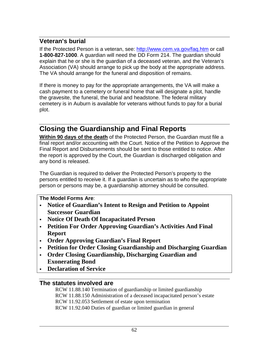#### <span id="page-65-0"></span>**Veteran's burial**

If the Protected Person is a veteran, see:<http://www.cem.va.gov/faq.htm> or call **1-800-827-1000**. A guardian will need the DD Form 214. The guardian should explain that he or she is the guardian of a deceased veteran, and the Veteran's Association (VA) should arrange to pick up the body at the appropriate address. The VA should arrange for the funeral and disposition of remains.

If there is money to pay for the appropriate arrangements, the VA will make a cash payment to a cemetery or funeral home that will designate a plot, handle the gravesite, the funeral, the burial and headstone. The federal military cemetery is in Auburn is available for veterans without funds to pay for a burial plot.

# <span id="page-65-1"></span>**Closing the Guardianship and Final Reports**

**Within 90 days of the death** of the Protected Person, the Guardian must file a final report and/or accounting with the Court. Notice of the Petition to Approve the Final Report and Disbursements should be sent to those entitled to notice. After the report is approved by the Court, the Guardian is discharged obligation and any bond is released.

The Guardian is required to deliver the Protected Person's property to the persons entitled to receive it. If a guardian is uncertain as to who the appropriate person or persons may be, a guardianship attorney should be consulted.

#### **The Model Forms Are**:

- **Notice of Guardian's Intent to Resign and Petition to Appoint Successor Guardian**
- **Notice Of Death Of Incapacitated Person**
- **Petition For Order Approving Guardian's Activities And Final Report**
- **Order Approving Guardian's Final Report**
- **Petition for Order Closing Guardianship and Discharging Guardian**
- **Order Closing Guardianship, Discharging Guardian and Exonerating Bond**
- **Declaration of Service**

#### **The statutes involved are**

RCW 11.88.140 Termination of guardianship or limited guardianship RCW 11.88.150 Administration of a deceased incapacitated person's estate RCW 11.92.053 Settlement of estate upon termination RCW 11.92.040 Duties of guardian or limited guardian in general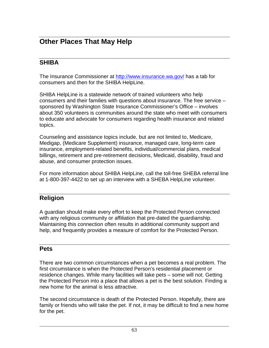# <span id="page-66-0"></span>**Other Places That May Help**

## <span id="page-66-1"></span>**SHIBA**

The Insurance Commissioner at<http://www.insurance.wa.gov/> has a tab for consumers and then for the SHIBA HelpLine.

SHIBA HelpLine is a statewide network of trained volunteers who help consumers and their families with questions about insurance. The free service – sponsored by Washington State Insurance Commissioner's Office – involves about 350 volunteers is communities around the state who meet with consumers to educate and advocate for consumers regarding health insurance and related topics.

Counseling and assistance topics include, but are not limited to, Medicare, Medigap, (Medicare Supplement) insurance, managed care, long-term care insurance, employment-related benefits, individual/commercial plans, medical billings, retirement and pre-retirement decisions, Medicaid, disability, fraud and abuse, and consumer protection issues.

For more information about SHIBA HelpLine, call the toll-free SHEBA referral line at 1-800-397-4422 to set up an interview with a SHEBA HelpLine volunteer.

## <span id="page-66-2"></span>**Religion**

A guardian should make every effort to keep the Protected Person connected with any religious community or affiliation that pre-dated the guardianship. Maintaining this connection often results in additional community support and help, and frequently provides a measure of comfort for the Protected Person.

#### <span id="page-66-3"></span>**Pets**

There are two common circumstances when a pet becomes a real problem. The first circumstance is when the Protected Person's residential placement or residence changes. While many facilities will take pets – some will not. Getting the Protected Person into a place that allows a pet is the best solution. Finding a new home for the animal is less attractive.

The second circumstance is death of the Protected Person. Hopefully, there are family or friends who will take the pet. If not, it may be difficult to find a new home for the pet.